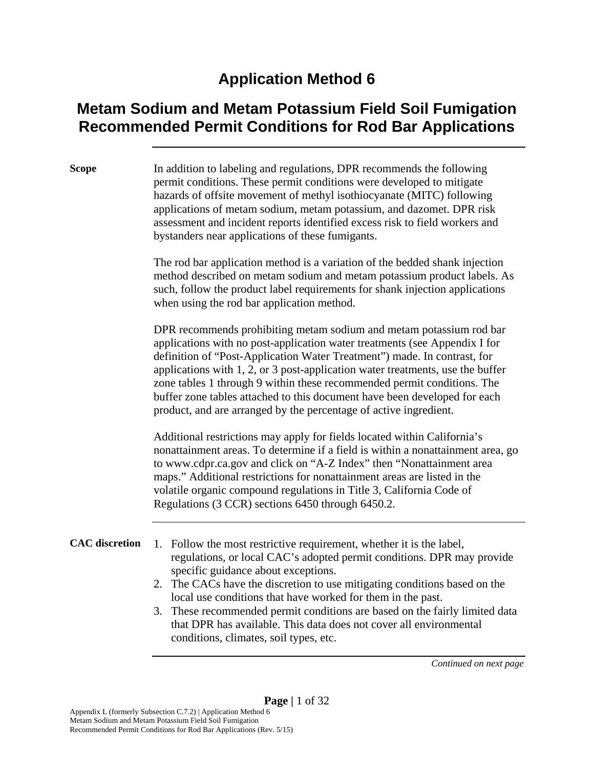#### **Application Method 6**

#### **Metam Sodium and Metam Potassium Field Soil Fumigation Recommended Permit Conditions for Rod Bar Applications**

**Scope** In addition to labeling and regulations, DPR recommends the following permit conditions. These permit conditions were developed to mitigate hazards of offsite movement of methyl isothiocyanate (MITC) following applications of metam sodium, metam potassium, and dazomet. DPR risk assessment and incident reports identified excess risk to field workers and bystanders near applications of these fumigants.

> The rod bar application method is a variation of the bedded shank injection method described on metam sodium and metam potassium product labels. As such, follow the product label requirements for shank injection applications when using the rod bar application method.

DPR recommends prohibiting metam sodium and metam potassium rod bar applications with no post-application water treatments (see Appendix I for definition of "Post-Application Water Treatment") made. In contrast, for applications with 1, 2, or 3 post-application water treatments, use the buffer zone tables 1 through 9 within these recommended permit conditions. The buffer zone tables attached to this document have been developed for each product, and are arranged by the percentage of active ingredient.

Additional restrictions may apply for fields located within California's nonattainment areas. To determine if a field is within a nonattainment area, go to www.cdpr.ca.gov and click on "A-Z Index" then "Nonattainment area maps." Additional restrictions for nonattainment areas are listed in the volatile organic compound regulations in Title 3, California Code of Regulations (3 CCR) sections 6450 through 6450.2.

**CAC discretion** 1. Follow the most restrictive requirement, whether it is the label, regulations, or local CAC's adopted permit conditions. DPR may provide specific guidance about exceptions.

- 2. The CACs have the discretion to use mitigating conditions based on the local use conditions that have worked for them in the past.
- 3. These recommended permit conditions are based on the fairly limited data that DPR has available. This data does not cover all environmental conditions, climates, soil types, etc.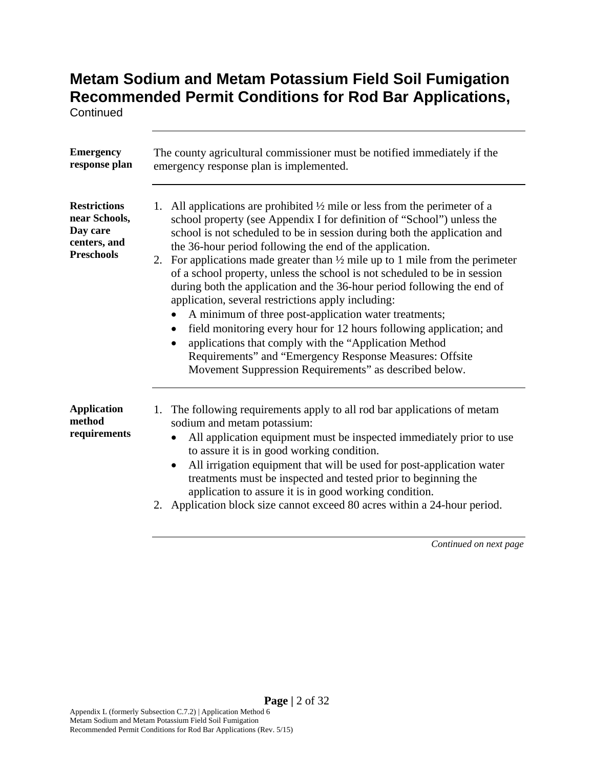**Continued** 

| <b>Emergency</b><br>response plan                                                     | The county agricultural commissioner must be notified immediately if the<br>emergency response plan is implemented.                                                                                                                                                                                                                                                                                                                                                                                                                                                                                                                                                                                                                                                                                                                                                                                                                             |
|---------------------------------------------------------------------------------------|-------------------------------------------------------------------------------------------------------------------------------------------------------------------------------------------------------------------------------------------------------------------------------------------------------------------------------------------------------------------------------------------------------------------------------------------------------------------------------------------------------------------------------------------------------------------------------------------------------------------------------------------------------------------------------------------------------------------------------------------------------------------------------------------------------------------------------------------------------------------------------------------------------------------------------------------------|
| <b>Restrictions</b><br>near Schools,<br>Day care<br>centers, and<br><b>Preschools</b> | All applications are prohibited $\frac{1}{2}$ mile or less from the perimeter of a<br>1.<br>school property (see Appendix I for definition of "School") unless the<br>school is not scheduled to be in session during both the application and<br>the 36-hour period following the end of the application.<br>2. For applications made greater than $\frac{1}{2}$ mile up to 1 mile from the perimeter<br>of a school property, unless the school is not scheduled to be in session<br>during both the application and the 36-hour period following the end of<br>application, several restrictions apply including:<br>A minimum of three post-application water treatments;<br>$\bullet$<br>field monitoring every hour for 12 hours following application; and<br>applications that comply with the "Application Method<br>Requirements" and "Emergency Response Measures: Offsite<br>Movement Suppression Requirements" as described below. |
| <b>Application</b><br>method<br>requirements                                          | 1. The following requirements apply to all rod bar applications of metam<br>sodium and metam potassium:<br>All application equipment must be inspected immediately prior to use<br>to assure it is in good working condition.<br>All irrigation equipment that will be used for post-application water<br>$\bullet$<br>treatments must be inspected and tested prior to beginning the<br>application to assure it is in good working condition.<br>2. Application block size cannot exceed 80 acres within a 24-hour period.                                                                                                                                                                                                                                                                                                                                                                                                                    |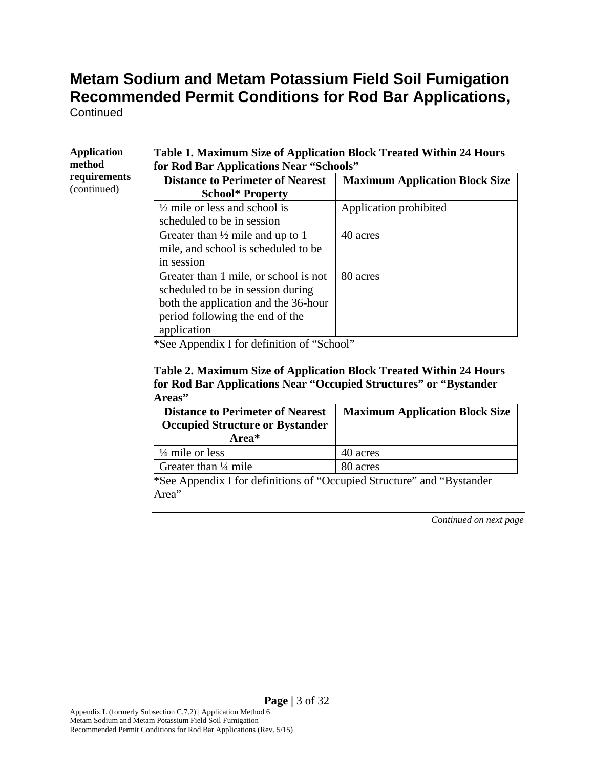**Continued** 

| <b>Application</b><br>method | <b>Table 1. Maximum Size of Application Block Treated Within 24 Hours</b><br>for Rod Bar Applications Near "Schools"                                                                                                                                                                                                                                                          |                                       |
|------------------------------|-------------------------------------------------------------------------------------------------------------------------------------------------------------------------------------------------------------------------------------------------------------------------------------------------------------------------------------------------------------------------------|---------------------------------------|
| requirements<br>(continued)  | <b>Distance to Perimeter of Nearest</b><br><b>School* Property</b>                                                                                                                                                                                                                                                                                                            | <b>Maximum Application Block Size</b> |
|                              | $\frac{1}{2}$ mile or less and school is<br>scheduled to be in session                                                                                                                                                                                                                                                                                                        | Application prohibited                |
|                              | Greater than $\frac{1}{2}$ mile and up to 1<br>mile, and school is scheduled to be<br>in session                                                                                                                                                                                                                                                                              | 40 acres                              |
|                              | Greater than 1 mile, or school is not<br>scheduled to be in session during<br>both the application and the 36-hour                                                                                                                                                                                                                                                            | 80 acres                              |
|                              | period following the end of the<br>application<br>$\cdots$<br>$\mathbf{A}$ and $\mathbf{A}$ and $\mathbf{A}$ and $\mathbf{A}$ are $\mathbf{A}$ and $\mathbf{A}$ and $\mathbf{A}$ are $\mathbf{A}$ and $\mathbf{A}$ are $\mathbf{A}$ and $\mathbf{A}$ and $\mathbf{A}$ are $\mathbf{A}$ and $\mathbf{A}$ are $\mathbf{A}$ and $\mathbf{A}$ are $\mathbf{A}$ and<br>C(1)<br>∿ ∼ | 199                                   |

\*See Appendix I for definition of "School"

#### **Table 2. Maximum Size of Application Block Treated Within 24 Hours for Rod Bar Applications Near "Occupied Structures" or "Bystander Areas"**

| <b>Distance to Perimeter of Nearest</b><br><b>Occupied Structure or Bystander</b><br>Area* | <b>Maximum Application Block Size</b> |
|--------------------------------------------------------------------------------------------|---------------------------------------|
| $\frac{1}{4}$ mile or less                                                                 | 40 acres                              |
| Greater than $\frac{1}{4}$ mile                                                            | 80 acres                              |

\*See Appendix I for definitions of "Occupied Structure" and "Bystander Area"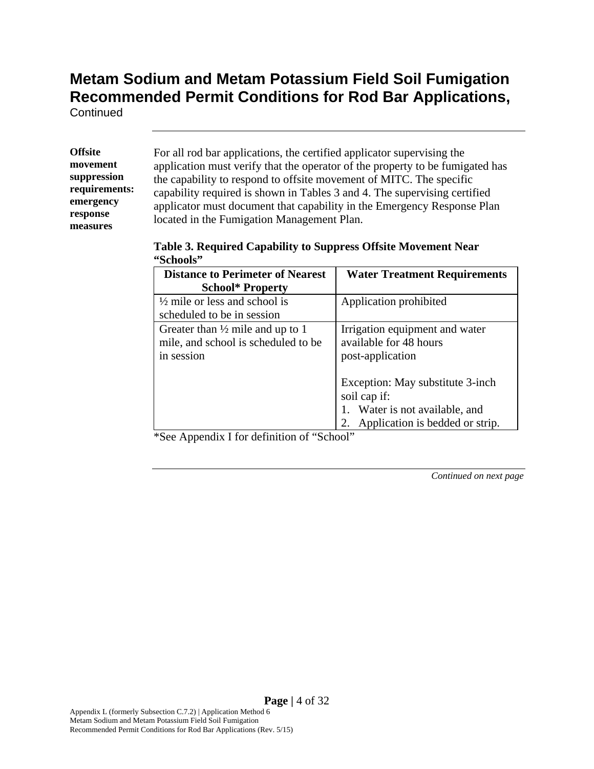**Continued** 

**Offsite movement suppression requirements: emergency response measures** 

For all rod bar applications, the certified applicator supervising the application must verify that the operator of the property to be fumigated has the capability to respond to offsite movement of MITC. The specific capability required is shown in Tables 3 and 4. The supervising certified applicator must document that capability in the Emergency Response Plan located in the Fumigation Management Plan.

|           | Table 3. Required Capability to Suppress Offsite Movement Near |
|-----------|----------------------------------------------------------------|
| "Schools" |                                                                |

| <b>Distance to Perimeter of Nearest</b>     | <b>Water Treatment Requirements</b> |
|---------------------------------------------|-------------------------------------|
| <b>School*</b> Property                     |                                     |
| $\frac{1}{2}$ mile or less and school is    | Application prohibited              |
| scheduled to be in session                  |                                     |
| Greater than $\frac{1}{2}$ mile and up to 1 | Irrigation equipment and water      |
| mile, and school is scheduled to be         | available for 48 hours              |
| in session                                  | post-application                    |
|                                             |                                     |
|                                             | Exception: May substitute 3-inch    |
|                                             | soil cap if:                        |
|                                             | 1. Water is not available, and      |
|                                             | 2. Application is bedded or strip.  |

\*See Appendix I for definition of "School"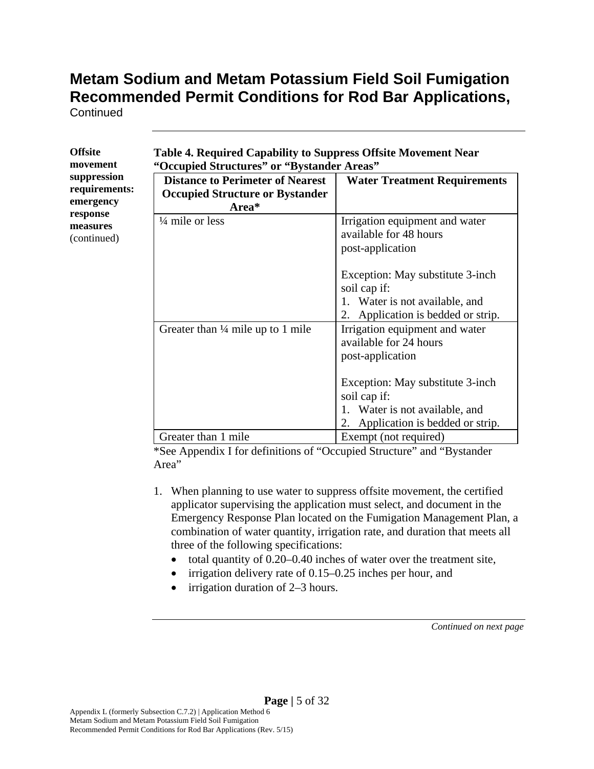**Continued** 

| Offsite       |
|---------------|
| movement      |
| suppression   |
| requirements: |
| emergency     |
| response      |
| measures      |
| (continued)   |
|               |

| Table 4. Required Capability to Suppress Offsite Movement Near |  |
|----------------------------------------------------------------|--|
| "Occupied Structures" or "Bystander Areas"                     |  |

| <b>Distance to Perimeter of Nearest</b><br><b>Occupied Structure or Bystander</b><br>Area* | <b>Water Treatment Requirements</b>                                                |
|--------------------------------------------------------------------------------------------|------------------------------------------------------------------------------------|
| $\frac{1}{4}$ mile or less                                                                 | Irrigation equipment and water<br>available for 48 hours<br>post-application       |
|                                                                                            | Exception: May substitute 3-inch<br>soil cap if:                                   |
|                                                                                            | 1. Water is not available, and<br>Application is bedded or strip.<br>2.            |
| Greater than $\frac{1}{4}$ mile up to 1 mile                                               | Irrigation equipment and water<br>available for 24 hours<br>post-application       |
|                                                                                            | Exception: May substitute 3-inch<br>soil cap if:<br>1. Water is not available, and |
|                                                                                            | Application is bedded or strip.<br>2.                                              |
| Greater than 1 mile                                                                        | Exempt (not required)                                                              |

\*See Appendix I for definitions of "Occupied Structure" and "Bystander Area"

- 1. When planning to use water to suppress offsite movement, the certified applicator supervising the application must select, and document in the Emergency Response Plan located on the Fumigation Management Plan, a combination of water quantity, irrigation rate, and duration that meets all three of the following specifications:
	- total quantity of 0.20–0.40 inches of water over the treatment site,
	- irrigation delivery rate of 0.15–0.25 inches per hour, and
	- $\bullet$  irrigation duration of 2–3 hours.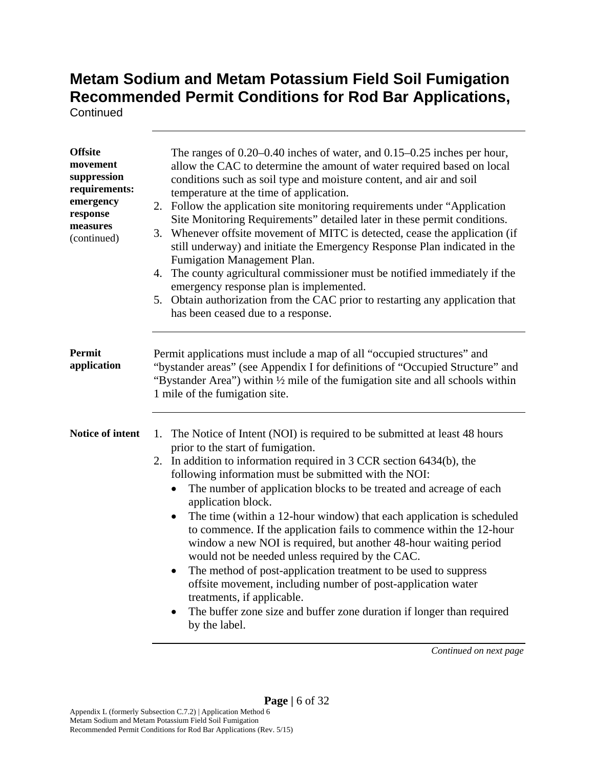**Continued** 

| <b>Offsite</b><br>movement<br>suppression<br>requirements:<br>emergency<br>response<br>measures<br>(continued) | The ranges of $0.20-0.40$ inches of water, and $0.15-0.25$ inches per hour,<br>allow the CAC to determine the amount of water required based on local<br>conditions such as soil type and moisture content, and air and soil<br>temperature at the time of application.<br>2. Follow the application site monitoring requirements under "Application<br>Site Monitoring Requirements" detailed later in these permit conditions.<br>3. Whenever offsite movement of MITC is detected, cease the application (if<br>still underway) and initiate the Emergency Response Plan indicated in the<br>Fumigation Management Plan.<br>4. The county agricultural commissioner must be notified immediately if the<br>emergency response plan is implemented.<br>5. Obtain authorization from the CAC prior to restarting any application that<br>has been ceased due to a response.                                                               |
|----------------------------------------------------------------------------------------------------------------|--------------------------------------------------------------------------------------------------------------------------------------------------------------------------------------------------------------------------------------------------------------------------------------------------------------------------------------------------------------------------------------------------------------------------------------------------------------------------------------------------------------------------------------------------------------------------------------------------------------------------------------------------------------------------------------------------------------------------------------------------------------------------------------------------------------------------------------------------------------------------------------------------------------------------------------------|
| <b>Permit</b><br>application                                                                                   | Permit applications must include a map of all "occupied structures" and<br>"bystander areas" (see Appendix I for definitions of "Occupied Structure" and<br>"Bystander Area") within 1/2 mile of the fumigation site and all schools within<br>1 mile of the fumigation site.                                                                                                                                                                                                                                                                                                                                                                                                                                                                                                                                                                                                                                                              |
| Notice of intent                                                                                               | The Notice of Intent (NOI) is required to be submitted at least 48 hours<br>1.<br>prior to the start of fumigation.<br>In addition to information required in 3 CCR section 6434(b), the<br>2.<br>following information must be submitted with the NOI:<br>The number of application blocks to be treated and acreage of each<br>$\bullet$<br>application block.<br>The time (within a 12-hour window) that each application is scheduled<br>$\bullet$<br>to commence. If the application fails to commence within the 12-hour<br>window a new NOI is required, but another 48-hour waiting period<br>would not be needed unless required by the CAC.<br>The method of post-application treatment to be used to suppress<br>$\bullet$<br>offsite movement, including number of post-application water<br>treatments, if applicable.<br>The buffer zone size and buffer zone duration if longer than required<br>$\bullet$<br>by the label. |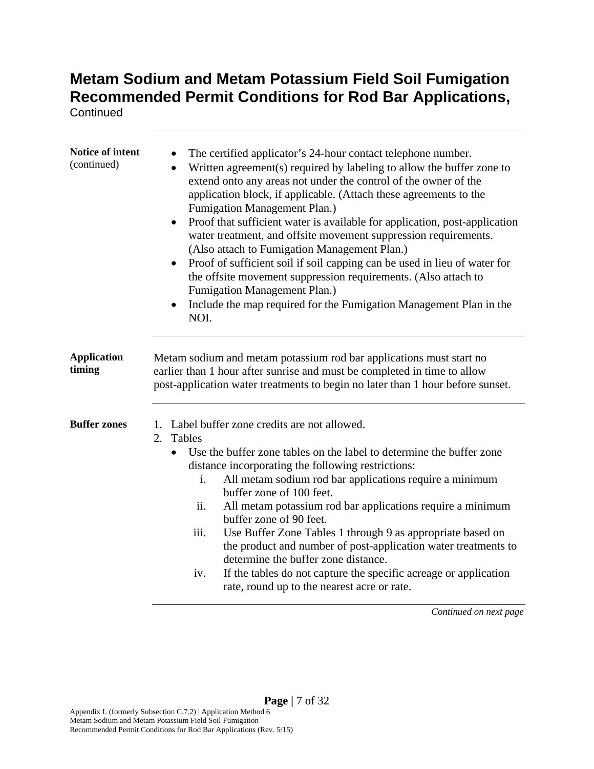**Continued** 

| Notice of intent<br>(continued) | The certified applicator's 24-hour contact telephone number.<br>Written agreement(s) required by labeling to allow the buffer zone to<br>extend onto any areas not under the control of the owner of the<br>application block, if applicable. (Attach these agreements to the<br>Fumigation Management Plan.)<br>Proof that sufficient water is available for application, post-application<br>water treatment, and offsite movement suppression requirements.<br>(Also attach to Fumigation Management Plan.)<br>Proof of sufficient soil if soil capping can be used in lieu of water for<br>the offsite movement suppression requirements. (Also attach to<br>Fumigation Management Plan.)<br>Include the map required for the Fumigation Management Plan in the<br>$\bullet$<br>NOI. |  |
|---------------------------------|------------------------------------------------------------------------------------------------------------------------------------------------------------------------------------------------------------------------------------------------------------------------------------------------------------------------------------------------------------------------------------------------------------------------------------------------------------------------------------------------------------------------------------------------------------------------------------------------------------------------------------------------------------------------------------------------------------------------------------------------------------------------------------------|--|
| <b>Application</b><br>timing    | Metam sodium and metam potassium rod bar applications must start no<br>earlier than 1 hour after sunrise and must be completed in time to allow<br>post-application water treatments to begin no later than 1 hour before sunset.                                                                                                                                                                                                                                                                                                                                                                                                                                                                                                                                                        |  |
| <b>Buffer zones</b>             | 1. Label buffer zone credits are not allowed.<br>Tables<br>2.<br>Use the buffer zone tables on the label to determine the buffer zone<br>$\bullet$<br>distance incorporating the following restrictions:<br>All metam sodium rod bar applications require a minimum<br>i.<br>buffer zone of 100 feet.<br>ii.<br>All metam potassium rod bar applications require a minimum<br>buffer zone of 90 feet.<br>Use Buffer Zone Tables 1 through 9 as appropriate based on<br>iii.<br>the product and number of post-application water treatments to<br>determine the buffer zone distance.<br>If the tables do not capture the specific acreage or application<br>iv.<br>rate, round up to the nearest acre or rate.                                                                           |  |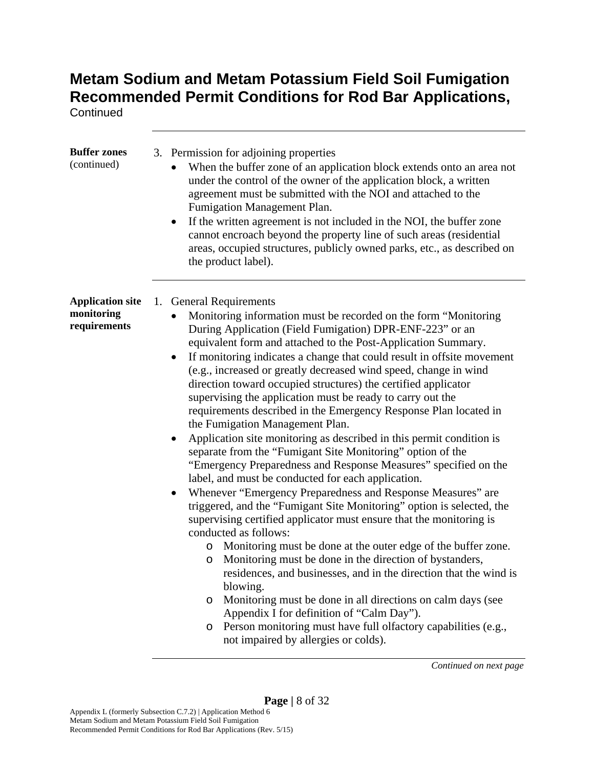**Continued** 

| <b>Buffer zones</b><br>(continued)                    | 3. Permission for adjoining properties<br>When the buffer zone of an application block extends onto an area not<br>under the control of the owner of the application block, a written<br>agreement must be submitted with the NOI and attached to the<br>Fumigation Management Plan.<br>If the written agreement is not included in the NOI, the buffer zone<br>$\bullet$<br>cannot encroach beyond the property line of such areas (residential<br>areas, occupied structures, publicly owned parks, etc., as described on<br>the product label).                                                                                                                                                                                                                                                                                                                                                                                                                                                                                                                                                                                                                                                                                                                                                                                                                                                                                                                                                                                                                                      |
|-------------------------------------------------------|-----------------------------------------------------------------------------------------------------------------------------------------------------------------------------------------------------------------------------------------------------------------------------------------------------------------------------------------------------------------------------------------------------------------------------------------------------------------------------------------------------------------------------------------------------------------------------------------------------------------------------------------------------------------------------------------------------------------------------------------------------------------------------------------------------------------------------------------------------------------------------------------------------------------------------------------------------------------------------------------------------------------------------------------------------------------------------------------------------------------------------------------------------------------------------------------------------------------------------------------------------------------------------------------------------------------------------------------------------------------------------------------------------------------------------------------------------------------------------------------------------------------------------------------------------------------------------------------|
| <b>Application site</b><br>monitoring<br>requirements | 1. General Requirements<br>Monitoring information must be recorded on the form "Monitoring"<br>During Application (Field Fumigation) DPR-ENF-223" or an<br>equivalent form and attached to the Post-Application Summary.<br>If monitoring indicates a change that could result in offsite movement<br>(e.g., increased or greatly decreased wind speed, change in wind<br>direction toward occupied structures) the certified applicator<br>supervising the application must be ready to carry out the<br>requirements described in the Emergency Response Plan located in<br>the Fumigation Management Plan.<br>Application site monitoring as described in this permit condition is<br>separate from the "Fumigant Site Monitoring" option of the<br>"Emergency Preparedness and Response Measures" specified on the<br>label, and must be conducted for each application.<br>Whenever "Emergency Preparedness and Response Measures" are<br>triggered, and the "Fumigant Site Monitoring" option is selected, the<br>supervising certified applicator must ensure that the monitoring is<br>conducted as follows:<br>Monitoring must be done at the outer edge of the buffer zone.<br>$\circ$<br>Monitoring must be done in the direction of bystanders,<br>O<br>residences, and businesses, and in the direction that the wind is<br>blowing.<br>Monitoring must be done in all directions on calm days (see<br>O<br>Appendix I for definition of "Calm Day").<br>Person monitoring must have full olfactory capabilities (e.g.,<br>$\circ$<br>not impaired by allergies or colds). |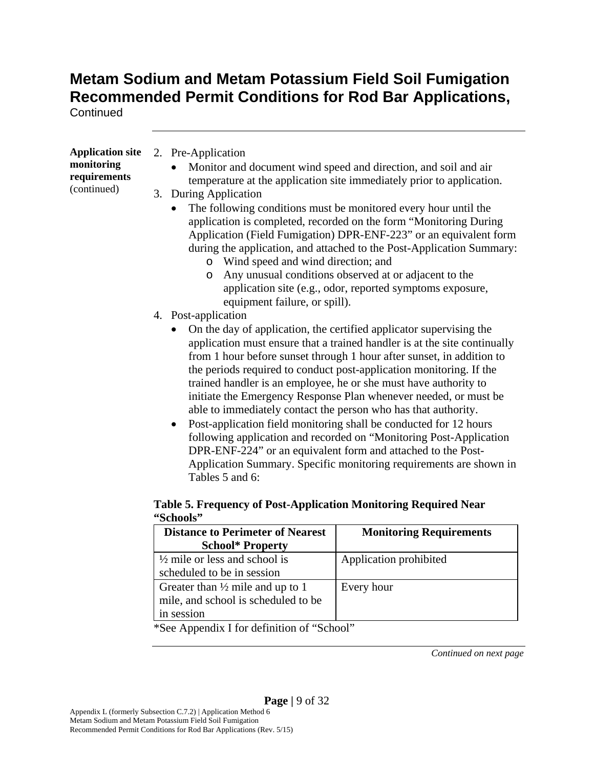**Continued** 

| <b>Application site</b> | 2. Pre-Application                                                             |
|-------------------------|--------------------------------------------------------------------------------|
| monitoring              | Monitor and document wind speed and direction, and soil and air                |
| requirements            | temperature at the application site immediately prior to application.          |
| (continued)             | 3. During Application                                                          |
|                         | The following conditions must be monitored every hour until the                |
|                         | application is completed, recorded on the form "Monitoring During              |
|                         | Application (Field Fumigation) DPR-ENF-223" or an equivalent form              |
|                         | during the application, and attached to the Post-Application Summary:          |
|                         | Wind speed and wind direction; and<br>$\circ$                                  |
|                         | Any unusual conditions observed at or adjacent to the<br>$\circ$               |
|                         | application site (e.g., odor, reported symptoms exposure,                      |
|                         | equipment failure, or spill).                                                  |
|                         | 4. Post-application                                                            |
|                         | On the day of application, the certified applicator supervising the            |
|                         | application must ensure that a trained handler is at the site continually      |
|                         | from 1 hour before sunset through 1 hour after sunset, in addition to          |
|                         | the periods required to conduct post-application monitoring. If the            |
|                         | trained handler is an employee, he or she must have authority to               |
|                         | initiate the Emergency Response Plan whenever needed, or must be               |
|                         | able to immediately contact the person who has that authority.                 |
|                         | Post-application field monitoring shall be conducted for 12 hours<br>$\bullet$ |
|                         | following application and recorded on "Monitoring Post-Application"            |
|                         | DPR-ENF-224" or an equivalent form and attached to the Post-                   |

Application Summary. Specific monitoring requirements are shown in Tables 5 and 6:

#### **Table 5. Frequency of Post-Application Monitoring Required Near "Schools"**

| <b>Distance to Perimeter of Nearest</b><br><b>School* Property</b>                               | <b>Monitoring Requirements</b> |
|--------------------------------------------------------------------------------------------------|--------------------------------|
| $\frac{1}{2}$ mile or less and school is<br>scheduled to be in session                           | Application prohibited         |
| Greater than $\frac{1}{2}$ mile and up to 1<br>mile, and school is scheduled to be<br>in session | Every hour                     |

\*See Appendix I for definition of "School"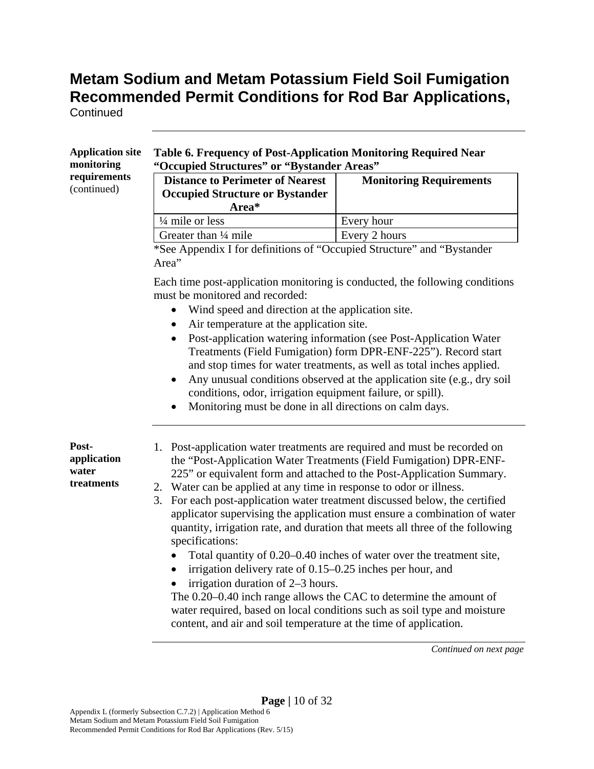**Continued** 

| requirements<br>(continued)                 | "Occupied Structures" or "Bystander Areas"<br><b>Distance to Perimeter of Nearest</b><br><b>Occupied Structure or Bystander</b><br>Area*                                                                                                                                                                                                            | <b>Monitoring Requirements</b>                                                                                                                                                                                                                                                                       |
|---------------------------------------------|-----------------------------------------------------------------------------------------------------------------------------------------------------------------------------------------------------------------------------------------------------------------------------------------------------------------------------------------------------|------------------------------------------------------------------------------------------------------------------------------------------------------------------------------------------------------------------------------------------------------------------------------------------------------|
|                                             | $\frac{1}{4}$ mile or less                                                                                                                                                                                                                                                                                                                          | Every hour                                                                                                                                                                                                                                                                                           |
|                                             | Greater than 1/4 mile                                                                                                                                                                                                                                                                                                                               | Every 2 hours                                                                                                                                                                                                                                                                                        |
|                                             | *See Appendix I for definitions of "Occupied Structure" and "Bystander<br>Area"                                                                                                                                                                                                                                                                     |                                                                                                                                                                                                                                                                                                      |
|                                             | Each time post-application monitoring is conducted, the following conditions<br>must be monitored and recorded:<br>Wind speed and direction at the application site.<br>٠<br>Air temperature at the application site.<br>٠<br>conditions, odor, irrigation equipment failure, or spill).<br>Monitoring must be done in all directions on calm days. | Post-application watering information (see Post-Application Water<br>Treatments (Field Fumigation) form DPR-ENF-225"). Record start<br>and stop times for water treatments, as well as total inches applied.<br>Any unusual conditions observed at the application site (e.g., dry soil              |
| Post-<br>application<br>water<br>treatments | 1. Post-application water treatments are required and must be recorded on<br>2. Water can be applied at any time in response to odor or illness.<br>3.<br>quantity, irrigation rate, and duration that meets all three of the following                                                                                                             | the "Post-Application Water Treatments (Field Fumigation) DPR-ENF-<br>225" or equivalent form and attached to the Post-Application Summary.<br>For each post-application water treatment discussed below, the certified<br>applicator supervising the application must ensure a combination of water |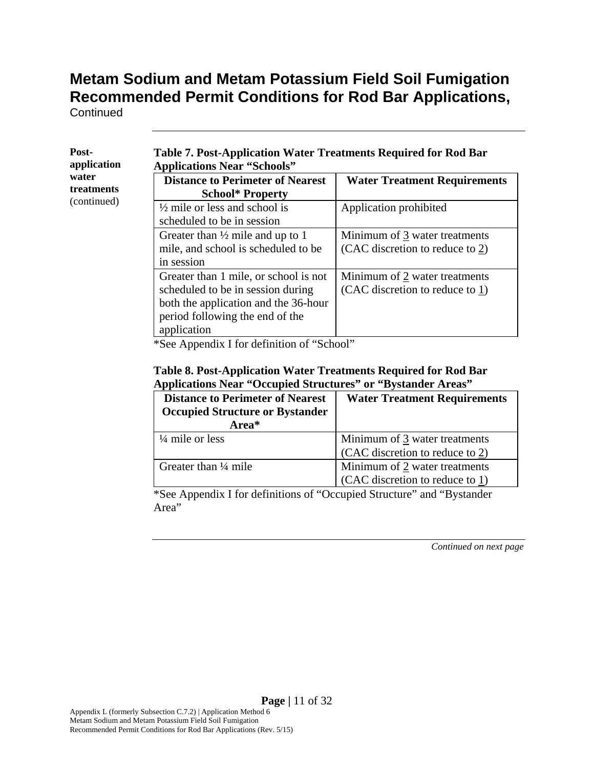**Continued** 

| Post-<br>application | <b>Table 7. Post-Application Water Treatments Required for Rod Bar</b><br><b>Applications Near "Schools"</b>                                                         |                                                                  |
|----------------------|----------------------------------------------------------------------------------------------------------------------------------------------------------------------|------------------------------------------------------------------|
| water<br>treatments  | <b>Distance to Perimeter of Nearest</b><br><b>School* Property</b>                                                                                                   | <b>Water Treatment Requirements</b>                              |
| (continued)          | $\frac{1}{2}$ mile or less and school is<br>scheduled to be in session                                                                                               | Application prohibited                                           |
|                      | Greater than $\frac{1}{2}$ mile and up to 1<br>mile, and school is scheduled to be<br>in session                                                                     | Minimum of 3 water treatments<br>(CAC discretion to reduce to 2) |
|                      | Greater than 1 mile, or school is not<br>scheduled to be in session during<br>both the application and the 36-hour<br>period following the end of the<br>application | Minimum of 2 water treatments<br>(CAC discretion to reduce to 1) |

\*See Appendix I for definition of "School"

#### **Table 8. Post-Application Water Treatments Required for Rod Bar Applications Near "Occupied Structures" or "Bystander Areas"**

| <b>Distance to Perimeter of Nearest</b> | <b>Water Treatment Requirements</b> |
|-----------------------------------------|-------------------------------------|
| <b>Occupied Structure or Bystander</b>  |                                     |
| Area*                                   |                                     |
| $\frac{1}{4}$ mile or less              | Minimum of 3 water treatments       |
|                                         | (CAC discretion to reduce to 2)     |
| Greater than $\frac{1}{4}$ mile         | Minimum of 2 water treatments       |
|                                         | (CAC discretion to reduce to 1)     |

\*See Appendix I for definitions of "Occupied Structure" and "Bystander Area"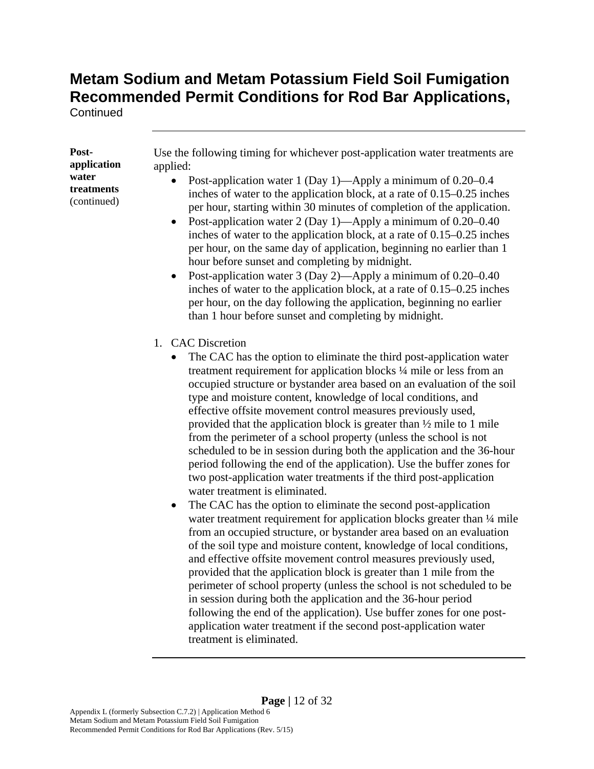**Continued** 

**Postapplication water treatments**  (continued)

Use the following timing for whichever post-application water treatments are applied:

- Post-application water 1 (Day 1)—Apply a minimum of 0.20–0.4 inches of water to the application block, at a rate of 0.15–0.25 inches per hour, starting within 30 minutes of completion of the application.
- Post-application water 2 (Day 1)—Apply a minimum of  $0.20-0.40$ inches of water to the application block, at a rate of 0.15–0.25 inches per hour, on the same day of application, beginning no earlier than 1 hour before sunset and completing by midnight.
- Post-application water 3 (Day 2)—Apply a minimum of 0.20–0.40 inches of water to the application block, at a rate of 0.15–0.25 inches per hour, on the day following the application, beginning no earlier than 1 hour before sunset and completing by midnight.
- 1. CAC Discretion
	- The CAC has the option to eliminate the third post-application water treatment requirement for application blocks ¼ mile or less from an occupied structure or bystander area based on an evaluation of the soil type and moisture content, knowledge of local conditions, and effective offsite movement control measures previously used, provided that the application block is greater than ½ mile to 1 mile from the perimeter of a school property (unless the school is not scheduled to be in session during both the application and the 36-hour period following the end of the application). Use the buffer zones for two post-application water treatments if the third post-application water treatment is eliminated.
	- The CAC has the option to eliminate the second post-application water treatment requirement for application blocks greater than  $\frac{1}{4}$  mile from an occupied structure, or bystander area based on an evaluation of the soil type and moisture content, knowledge of local conditions, and effective offsite movement control measures previously used, provided that the application block is greater than 1 mile from the perimeter of school property (unless the school is not scheduled to be in session during both the application and the 36-hour period following the end of the application). Use buffer zones for one postapplication water treatment if the second post-application water treatment is eliminated.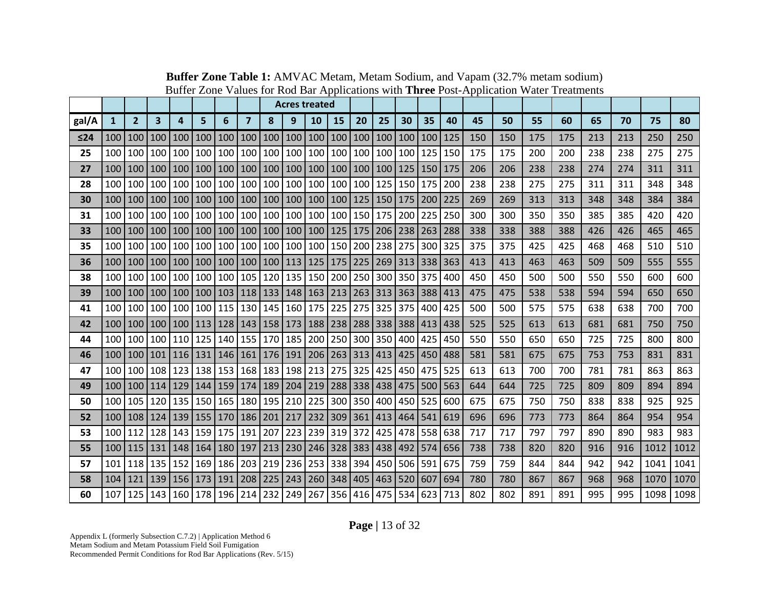|           |              |                  |           |     |                  |         |                |                                            | <b>Acres treated</b> |     |             |         |     |           |     |     |     |     |     |     |     |     |      |      |
|-----------|--------------|------------------|-----------|-----|------------------|---------|----------------|--------------------------------------------|----------------------|-----|-------------|---------|-----|-----------|-----|-----|-----|-----|-----|-----|-----|-----|------|------|
| gal/A     | $\mathbf{1}$ | $\overline{2}$   | 3         | 4   | 5                | 6       | $\overline{7}$ | 8                                          | 9                    | 10  | 15          | 20      | 25  | 30        | 35  | 40  | 45  | 50  | 55  | 60  | 65  | 70  | 75   | 80   |
| $\leq 24$ | 100          | 100              | 100       | 100 | 100              | 100     | 100            | 100                                        | 100                  |     | 100 100     | 100     | 100 | 100       | 100 | 125 | 150 | 150 | 175 | 175 | 213 | 213 | 250  | 250  |
| 25        | 100          | 100              | 100       | 100 | 100              | 100     | 100            | 100                                        | 100                  | 100 | 100         | 100     | 100 | 100       | 125 | 150 | 175 | 175 | 200 | 200 | 238 | 238 | 275  | 275  |
| 27        | 100          | 100              | 100       | 100 | 100 <sub>l</sub> | 100     | 100            |                                            | 100 100              | 100 | 100         | 100     | 100 | 125       | 150 | 175 | 206 | 206 | 238 | 238 | 274 | 274 | 311  | 311  |
| 28        | 100          | 100              | 100       | 100 | 100              | 100     | 100            | 100                                        | 100                  | 100 | 100         | 100     | 125 | 150       | 175 | 200 | 238 | 238 | 275 | 275 | 311 | 311 | 348  | 348  |
| 30        | 100          | 100 <sup>1</sup> | 100       | 100 | 100 <sup>1</sup> | 100     |                |                                            | 100   100   100      |     | 100 100     | 125     |     | 150   175 | 200 | 225 | 269 | 269 | 313 | 313 | 348 | 348 | 384  | 384  |
| 31        | 100          | 100              | 100       | 100 | 100              | 100     | 100            |                                            | 100 100              | 100 | 100 150     |         | 175 | 200       | 225 | 250 | 300 | 300 | 350 | 350 | 385 | 385 | 420  | 420  |
| 33        | 100          | 100              | 100       | 100 | 100              | 100     | 100            | 100                                        | 100                  | 100 | 125         | 175     | 206 | 238       | 263 | 288 | 338 | 338 | 388 | 388 | 426 | 426 | 465  | 465  |
| 35        | 100          | 100              | 100       | 100 | 100              | 100     | 100            | 100                                        | 100                  | 100 | 150         | 200     | 238 | 275       | 300 | 325 | 375 | 375 | 425 | 425 | 468 | 468 | 510  | 510  |
| 36        | 100          | 100              | 100       | 100 | 100 <sup>1</sup> | 100     | 100            |                                            | 100   113            |     | $125$   175 | 225     | 269 | 313       | 338 | 363 | 413 | 413 | 463 | 463 | 509 | 509 | 555  | 555  |
| 38        | 100          | 100              | 100       | 100 | 100 <sub>l</sub> | 100     | 105            | 120 <sub>l</sub>                           | 135                  | 150 | 200         | 250     | 300 | 350       | 375 | 400 | 450 | 450 | 500 | 500 | 550 | 550 | 600  | 600  |
| 39        | 100          | 100              | 100       | 100 | 100              | 103     | 118            | 133                                        | 148                  | 163 | 213         | 263     | 313 | 363       | 388 | 413 | 475 | 475 | 538 | 538 | 594 | 594 | 650  | 650  |
| 41        | 100          | 100              | 100       | 100 | 100              | 115     |                |                                            | 130   145   160      | 175 | 225         | 275     | 325 | 375       | 400 | 425 | 500 | 500 | 575 | 575 | 638 | 638 | 700  | 700  |
| 42        | 100          | 100   100        |           | 100 | $ 113\rangle$    | 128     | 143            | 158                                        | 173                  |     | 188 238     | 288     | 338 | 388 413   |     | 438 | 525 | 525 | 613 | 613 | 681 | 681 | 750  | 750  |
| 44        | 100          | 100              | 100       | 110 | 125              | 140     | 155            |                                            | 170 185              | 200 | 250         | 300     | 350 | 400       | 425 | 450 | 550 | 550 | 650 | 650 | 725 | 725 | 800  | 800  |
| 46        | 100          | 100              | 101       | 116 | 131              | 146     | 161            | 176                                        | 191                  | 206 | 263         | 313     | 413 | 425       | 450 | 488 | 581 | 581 | 675 | 675 | 753 | 753 | 831  | 831  |
| 47        | 100          | 100              | 108       | 123 | 138              | 153     | 168            | 183                                        | 198                  | 213 |             | 275 325 | 425 | 450       | 475 | 525 | 613 | 613 | 700 | 700 | 781 | 781 | 863  | 863  |
| 49        | 100          |                  | 100   114 | 129 | 144              | 159     | 174            | 189                                        | 204                  | 219 | 288         | 338     | 438 | 475       | 500 | 563 | 644 | 644 | 725 | 725 | 809 | 809 | 894  | 894  |
| 50        | 100          | 105              | 120       | 135 |                  | 150 165 | 180            | 195                                        | 210                  | 225 | 300         | 350     | 400 | 450       | 525 | 600 | 675 | 675 | 750 | 750 | 838 | 838 | 925  | 925  |
| 52        | 100          | 108              | 124       |     | 139   155   170  |         |                | 186 201                                    | 217                  | 232 | 309         | 361     | 413 | 464       | 541 | 619 | 696 | 696 | 773 | 773 | 864 | 864 | 954  | 954  |
| 53        | 100          | 112              | 128       | 143 | 159              | 175     | 191            | 207                                        | 223                  | 239 | 319         | 372     | 425 | 478       | 558 | 638 | 717 | 717 | 797 | 797 | 890 | 890 | 983  | 983  |
| 55        | 100          | 115              | 131       | 148 | 164              | 180     | 197            | 213                                        | 230                  |     | 246 328     | 383     | 438 | 492       | 574 | 656 | 738 | 738 | 820 | 820 | 916 | 916 | 1012 | 1012 |
| 57        | 101          | 118              | 135       | 152 | 169              | 186     | 203            | 219                                        | 236                  | 253 | 338         | 394     | 450 | 506       | 591 | 675 | 759 | 759 | 844 | 844 | 942 | 942 | 1041 | 1041 |
| 58        | 104          | 121              | 139       | 156 | 173              | 191     | 208            | $\begin{array}{c} \boxed{225} \end{array}$ | 243                  | 260 | 348         | 405     | 463 | 520       | 607 | 694 | 780 | 780 | 867 | 867 | 968 | 968 | 1070 | 1070 |
| 60        | 107          | 125              | 143       | 160 | 178              | 196     | 214            | 232                                        | 249                  | 267 |             | 356 416 | 475 | 534       | 623 | 713 | 802 | 802 | 891 | 891 | 995 | 995 | 1098 | 1098 |

**Buffer Zone Table 1:** AMVAC Metam, Metam Sodium, and Vapam (32.7% metam sodium) Buffer Zone Values for Rod Bar Applications with **Three** Post-Application Water Treatments

**Page |** 13 of 32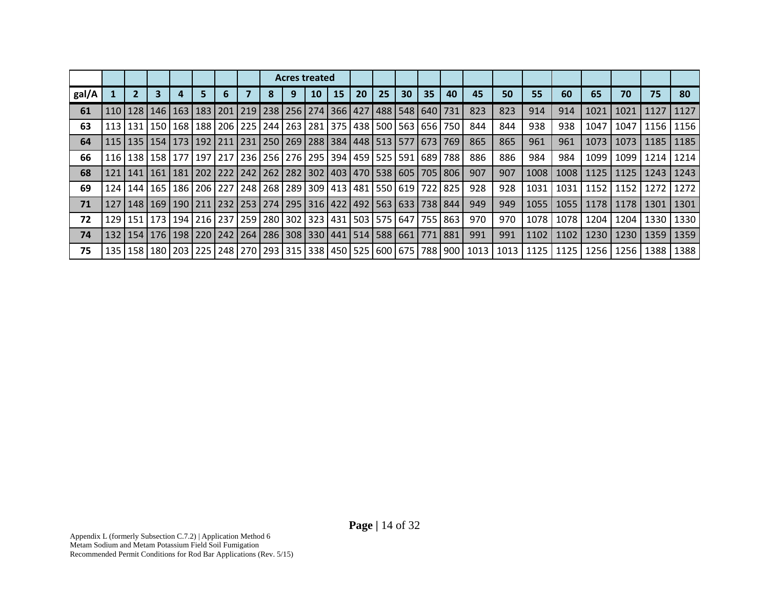|       |     |                 |     |  |                                                                                         | <b>Acres treated</b> |    |    |           |    |    |                 |                                                                             |                                                                                                      |      |      |        |      |      |      |             |
|-------|-----|-----------------|-----|--|-----------------------------------------------------------------------------------------|----------------------|----|----|-----------|----|----|-----------------|-----------------------------------------------------------------------------|------------------------------------------------------------------------------------------------------|------|------|--------|------|------|------|-------------|
| gal/A |     |                 |     |  |                                                                                         |                      | 10 | 15 | <b>20</b> | 25 | 30 | 35 <sub>2</sub> | 40                                                                          | 45                                                                                                   | 50   | 55   | 60     | 65   | 70   | 75   | 80          |
| 61    |     | 110   128   146 |     |  | 163   183   201   219   238   256   274   366   427   488   548   640   731             |                      |    |    |           |    |    |                 |                                                                             | 823                                                                                                  | 823  | 914  | 914    | 1021 | 1021 | 1127 | 1127        |
| 63    |     | 113   131   150 |     |  | 168   188   206   225   244   263   281   375   438   500   563   656                   |                      |    |    |           |    |    |                 | 750                                                                         | 844                                                                                                  | 844  | 938  | 938    | 1047 | 1047 | 1156 | 1156        |
| 64    |     |                 |     |  | 115   135   154   173   192   211   231   250   269   288   384   448   513   577   673 |                      |    |    |           |    |    |                 | 769                                                                         | 865                                                                                                  | 865  | 961  | 961    | 1073 | 1073 |      | 1185   1185 |
| 66    |     |                 |     |  | 116   138   158   177   197   217   236   256   276   295   394   459   525   591   689 |                      |    |    |           |    |    |                 | 788                                                                         | 886                                                                                                  | 886  | 984  | 984    | 1099 | 1099 | 1214 | 1214        |
| 68    | 121 | .   141   161   | 181 |  |                                                                                         |                      |    |    |           |    |    |                 | .   202   222   242   262   282   302   403   470   538   605   705   806   | 907                                                                                                  | 907  | 1008 | 1008   | 1125 | 1125 |      | 1243   1243 |
| 69    |     | 124   144   165 |     |  | 186   206   227   248   268   289   309   413   481   550   619   722                   |                      |    |    |           |    |    |                 | 825                                                                         | 928                                                                                                  | 928  | 1031 | 1031   | 1152 | 1152 | 1272 | 1272        |
| 71    |     | 127   148   169 |     |  |                                                                                         |                      |    |    |           |    |    |                 | 190   211   232   253   274   295   316   422   492   563   633   738   844 | 949                                                                                                  | 949  | 1055 | 1055   | 1178 | 1178 | 1301 | 1301        |
| 72    |     | 129   151   173 |     |  | 194   216   237   259   280   302   323   431   503   575   647   755                   |                      |    |    |           |    |    |                 | 863                                                                         | 970                                                                                                  | 970  | 1078 | 1078 L | 1204 | 1204 | 1330 | 1330        |
| 74    |     | 132   154   176 |     |  | 198   220   242   264   286   308   330   441   514   588   661   771                   |                      |    |    |           |    |    |                 | 881                                                                         | 991                                                                                                  | 991  | 1102 | 1102   | 1230 | 1230 | 1359 | 1359        |
| 75    |     |                 |     |  |                                                                                         |                      |    |    |           |    |    |                 |                                                                             | 135   158   180   203   225   248   270   293   315   338   450   525   600   675   788   900   1013 | 1013 | 1125 | 1125   | 1256 | 1256 | 1388 | 1388        |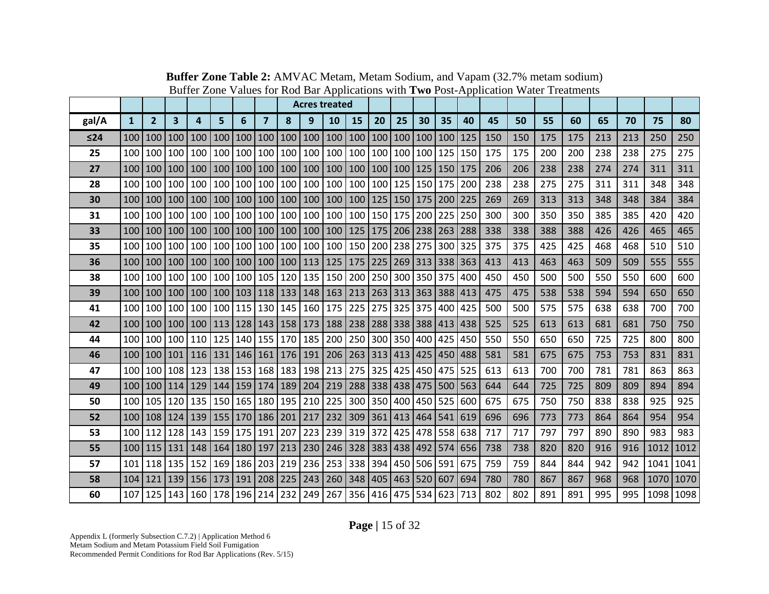|       |                  |                |                         |                                                                                               |                                   |         |                         |                         |             | <b>Acres treated</b>                                                        |                                   |     |             |             |                 |     |     |     |     |     |     |     |           |      |
|-------|------------------|----------------|-------------------------|-----------------------------------------------------------------------------------------------|-----------------------------------|---------|-------------------------|-------------------------|-------------|-----------------------------------------------------------------------------|-----------------------------------|-----|-------------|-------------|-----------------|-----|-----|-----|-----|-----|-----|-----|-----------|------|
| gal/A | $\mathbf{1}$     | $\overline{2}$ | $\overline{\mathbf{3}}$ | 4                                                                                             | 5                                 | 6       | $\overline{\mathbf{z}}$ | 8                       | 9           | 10                                                                          | 15                                | 20  | 25          | 30          | 35              | 40  | 45  | 50  | 55  | 60  | 65  | 70  | 75        | 80   |
| ≤24   | 100              | 100            | 100                     | 100                                                                                           |                                   | 100 100 | 100                     |                         | 100 100     |                                                                             | 100   100   100   100   100   100 |     |             |             |                 | 125 | 150 | 150 | 175 | 175 | 213 | 213 | 250       | 250  |
| 25    | 100 <sup>1</sup> |                | 100 100                 |                                                                                               |                                   |         |                         |                         |             | 100   100   100   100   100   100   100   100   100   100   100   125       |                                   |     |             |             |                 | 150 | 175 | 175 | 200 | 200 | 238 | 238 | 275       | 275  |
| 27    | 100 <sup>1</sup> |                | 100 100                 |                                                                                               | 100   100   100   100   100   100 |         |                         |                         |             | 100   100   100   100   125   150                                           |                                   |     |             |             |                 | 175 | 206 | 206 | 238 | 238 | 274 | 274 | 311       | 311  |
| 28    |                  |                | 100 100 100             |                                                                                               | 100 100 100 100 100 100           |         |                         |                         |             |                                                                             | 100 100 100                       |     | 125 150 175 |             |                 | 200 | 238 | 238 | 275 | 275 | 311 | 311 | 348       | 348  |
| 30    |                  |                | 100   100   100         |                                                                                               |                                   |         |                         |                         |             | 100   100   100   100   100   100   100   100   125   150   175   200   225 |                                   |     |             |             |                 |     | 269 | 269 | 313 | 313 | 348 | 348 | 384       | 384  |
| 31    |                  |                | 100 100 100             |                                                                                               |                                   |         |                         |                         |             | 100   100   100   100   100   100   100   100   150   175   200   225       |                                   |     |             |             |                 | 250 | 300 | 300 | 350 | 350 | 385 | 385 | 420       | 420  |
| 33    | 100              |                | 100 100                 |                                                                                               | 100   100   100                   |         |                         | $100 \mid 100 \mid 100$ |             |                                                                             | 100   125   175   206   238   263 |     |             |             |                 | 288 | 338 | 338 | 388 | 388 | 426 | 426 | 465       | 465  |
| 35    | 100              |                | 100 100                 |                                                                                               | 100 100 100                       |         |                         | 100 100 100             |             |                                                                             | 100 150 200                       |     | 238 275     |             | 300             | 325 | 375 | 375 | 425 | 425 | 468 | 468 | 510       | 510  |
| 36    |                  |                | 100 100 100             |                                                                                               |                                   |         |                         |                         |             | 100   100   100   100   100   113   125   175   225   269   313   338       |                                   |     |             |             |                 | 363 | 413 | 413 | 463 | 463 | 509 | 509 | 555       | 555  |
| 38    | $100 \mid$       |                | 100 100                 |                                                                                               |                                   |         |                         |                         |             | 100   100   100   105   120   135   150   200   250   300   350   375       |                                   |     |             |             |                 | 400 | 450 | 450 | 500 | 500 | 550 | 550 | 600       | 600  |
| 39    |                  | 100 100 100    |                         |                                                                                               |                                   |         |                         |                         |             | 100   100   103   118   133   148   163   213   263   313   363   388       |                                   |     |             |             |                 | 413 | 475 | 475 | 538 | 538 | 594 | 594 | 650       | 650  |
| 41    |                  |                | 100 100 100             |                                                                                               |                                   |         |                         |                         |             | 100   100   115   130   145   160   175   225   275   325   375             |                                   |     |             |             | 400             | 425 | 500 | 500 | 575 | 575 | 638 | 638 | 700       | 700  |
| 42    |                  |                |                         | 100   100   100   100   113   128   143   158   173   188   238   288   338   388   413   438 |                                   |         |                         |                         |             |                                                                             |                                   |     |             |             |                 |     | 525 | 525 | 613 | 613 | 681 | 681 | 750       | 750  |
| 44    | 100              |                | 100 100                 |                                                                                               | 110   125   140   155   170   185 |         |                         |                         |             |                                                                             | 200 250 300                       |     |             |             | 350 400 425     | 450 | 550 | 550 | 650 | 650 | 725 | 725 | 800       | 800  |
| 46    | 100              |                | 100   101               |                                                                                               | 116   131   146   161   176   191 |         |                         |                         |             |                                                                             | 206 263 313                       |     | 413 425     |             | 450             | 488 | 581 | 581 | 675 | 675 | 753 | 753 | 831       | 831  |
| 47    |                  |                | 100 100 108             |                                                                                               |                                   |         |                         |                         |             | 123   138   153   168   183   198   213   275                               |                                   | 325 |             |             | 425 450 475 525 |     | 613 | 613 | 700 | 700 | 781 | 781 | 863       | 863  |
| 49    |                  |                | 100   100   114         |                                                                                               |                                   |         |                         |                         |             | 129   144   159   174   189   204   219   288   338   438   475   500   563 |                                   |     |             |             |                 |     | 644 | 644 | 725 | 725 | 809 | 809 | 894       | 894  |
| 50    |                  |                | 100 105 120             |                                                                                               | 135   150   165   180   195   210 |         |                         |                         |             | 225                                                                         | 300 350                           |     |             | 400 450 525 |                 | 600 | 675 | 675 | 750 | 750 | 838 | 838 | 925       | 925  |
| 52    |                  |                | 100 108 124             |                                                                                               |                                   |         |                         |                         |             | 139   155   170   186   201   217   232   309                               |                                   | 361 |             |             | 413 464 541 619 |     | 696 | 696 | 773 | 773 | 864 | 864 | 954       | 954  |
| 53    |                  |                | 100 112 128             |                                                                                               | 143 159 175 191 207 223           |         |                         |                         |             | 239 319 372                                                                 |                                   |     |             |             | 425 478 558 638 |     | 717 | 717 | 797 | 797 | 890 | 890 | 983       | 983  |
| 55    |                  |                | 100   115   131         |                                                                                               | 148   164   180                   |         | 197                     | 213 230                 |             |                                                                             | 246 328 383 438 492 574 656       |     |             |             |                 |     | 738 | 738 | 820 | 820 | 916 | 916 | 1012      | 1012 |
| 57    | 101              |                | 118 135                 | 152                                                                                           | 169 186                           |         | 203                     | 219                     | 236         | 253                                                                         | 338                               | 394 | 450         | 506 591     |                 | 675 | 759 | 759 | 844 | 844 | 942 | 942 | 1041      | 1041 |
| 58    | 104              | 121            | 139                     |                                                                                               | 156 173 191                       |         |                         |                         | 208 225 243 |                                                                             | 260 348 405 463 520 607           |     |             |             |                 | 694 | 780 | 780 | 867 | 867 | 968 | 968 | 1070 1070 |      |
| 60    |                  |                | 107 125 143             |                                                                                               |                                   |         |                         |                         |             | 160   178   196   214   232   249   267   356   416   475   534   623   713 |                                   |     |             |             |                 |     | 802 | 802 | 891 | 891 | 995 | 995 | 1098 1098 |      |

**Buffer Zone Table 2:** AMVAC Metam, Metam Sodium, and Vapam (32.7% metam sodium) Buffer Zone Values for Rod Bar Applications with **Two** Post-Application Water Treatments

**Page |** 15 of 32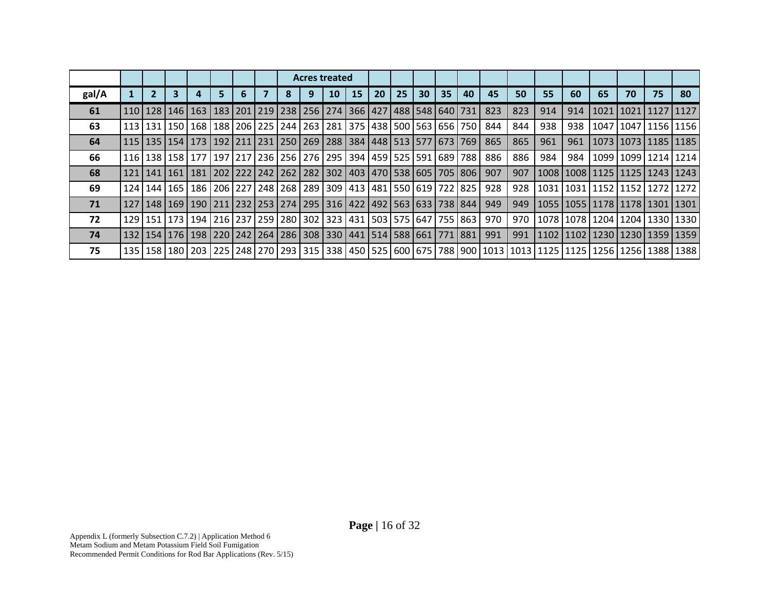|       |                 |                 |                                                                                               |    |  |   | <b>Acres treated</b> |    |    |    |    |    |    |                                                                             |     |     |     |     |                                                                                                                                                                                                                                 |                    |    |                           |
|-------|-----------------|-----------------|-----------------------------------------------------------------------------------------------|----|--|---|----------------------|----|----|----|----|----|----|-----------------------------------------------------------------------------|-----|-----|-----|-----|---------------------------------------------------------------------------------------------------------------------------------------------------------------------------------------------------------------------------------|--------------------|----|---------------------------|
| gal/A | $\overline{2}$  |                 |                                                                                               | 5. |  | 8 |                      | 10 | 15 | 20 | 25 | 30 | 35 | 40                                                                          | 45  | 50  | 55  | 60  | 65                                                                                                                                                                                                                              | 70                 | 75 | 80                        |
| 61    |                 | 110   128   146 |                                                                                               |    |  |   |                      |    |    |    |    |    |    | 163   183   201   219   238   256   274   366   427   488   548   640   731 | 823 | 823 | 914 | 914 |                                                                                                                                                                                                                                 | 1021   1021   1127 |    | 1127                      |
| 63    |                 |                 | 113   131   150   168   188   206   225   244   263   281   375   438   500   563   656   750 |    |  |   |                      |    |    |    |    |    |    |                                                                             | 844 | 844 | 938 | 938 |                                                                                                                                                                                                                                 |                    |    | 1047   1047   1156   1156 |
| 64    |                 |                 | 115   135   154   173   192   211   231   250   269   288   384   448   513   577   673   769 |    |  |   |                      |    |    |    |    |    |    |                                                                             | 865 | 865 | 961 | 961 |                                                                                                                                                                                                                                 |                    |    | 1073   1073   1185   1185 |
| 66    |                 |                 | 116   138   158   177   197   217   236   256   276   295   394   459   525   591   689   788 |    |  |   |                      |    |    |    |    |    |    |                                                                             | 886 | 886 | 984 | 984 |                                                                                                                                                                                                                                 |                    |    | 1099   1099   1214   1214 |
| 68    | 121   141   161 |                 |                                                                                               |    |  |   |                      |    |    |    |    |    |    | 181   202   222   242   262   282   302   403   470   538   605   705   806 | 907 | 907 |     |     | 1008   1008   1125   1125   1243   1243                                                                                                                                                                                         |                    |    |                           |
| 69    | 124   144   165 |                 |                                                                                               |    |  |   |                      |    |    |    |    |    |    | 186   206   227   248   268   289   309   413   481   550   619   722   825 | 928 | 928 |     |     | 1031   1031   1152   1152   1272   1272                                                                                                                                                                                         |                    |    |                           |
| 71    |                 |                 | 127   148   169   190   211   232   253   274   295   316   422   492   563   633   738   844 |    |  |   |                      |    |    |    |    |    |    |                                                                             | 949 | 949 |     |     | 1055   1055   1178   1178   1301   1301                                                                                                                                                                                         |                    |    |                           |
| 72    |                 | 129 151 173     |                                                                                               |    |  |   |                      |    |    |    |    |    |    | 194   216   237   259   280   302   323   431   503   575   647   755   863 | 970 | 970 |     |     | 1078   1078   1204   1204   1330   1330                                                                                                                                                                                         |                    |    |                           |
| 74    |                 |                 | 132   154   176   198   220   242   264   286   308   330   441   514   588   661   771   881 |    |  |   |                      |    |    |    |    |    |    |                                                                             | 991 | 991 |     |     | 1102   1102   1230   1230   1359   1359                                                                                                                                                                                         |                    |    |                           |
| 75    |                 |                 |                                                                                               |    |  |   |                      |    |    |    |    |    |    |                                                                             |     |     |     |     | 138   138   139   139   139   139   139   139   139   139   149   149   149   149   149   149   149   169   169   169   169   169   169   179   179   179   179   179   179   179   179   179   179   179   179   179   179   1 |                    |    |                           |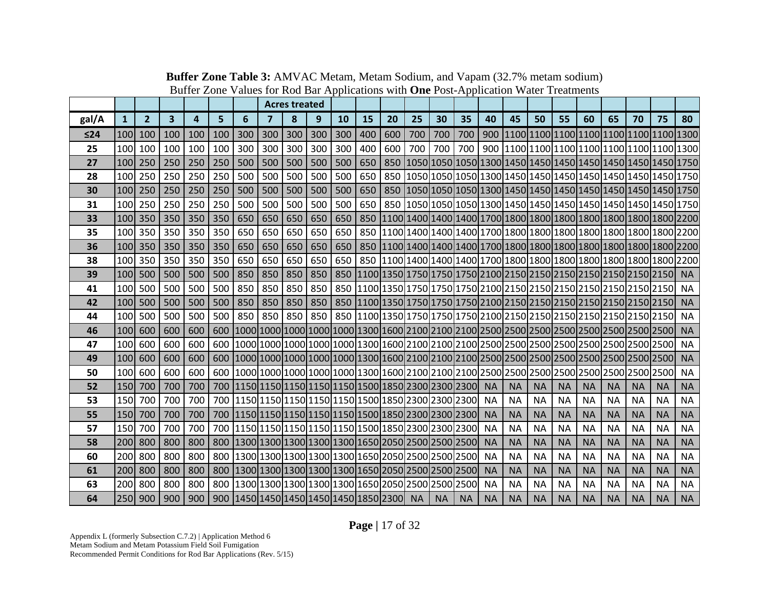|           |              |                |     |     |     |                                                                                                              |         | <b>Acres treated</b> |     |     |     |     |           |                                                                 |           |           |           |           |           |           |           |           |           |           |
|-----------|--------------|----------------|-----|-----|-----|--------------------------------------------------------------------------------------------------------------|---------|----------------------|-----|-----|-----|-----|-----------|-----------------------------------------------------------------|-----------|-----------|-----------|-----------|-----------|-----------|-----------|-----------|-----------|-----------|
| gal/A     | $\mathbf{1}$ | $\overline{2}$ | 3   | 4   | 5   | 6                                                                                                            | 7       | 8                    | 9   | 10  | 15  | 20  | 25        | 30                                                              | 35        | 40        | 45        | 50        | 55        | 60        | 65        | 70        | 75        | 80        |
| $\leq 24$ | 100          | 100            | 100 | 100 | 100 | 300                                                                                                          | 300     | 300                  | 300 | 300 | 400 | 600 | 700       | 700                                                             | 700       |           |           |           |           |           |           |           |           |           |
| 25        | 100          | 100            | 100 | 100 | 100 | 300                                                                                                          | 300     | 300                  | 300 | 300 | 400 | 600 | 700       | 700                                                             | 700       |           |           |           |           |           |           |           |           |           |
| 27        | 100          | 250            | 250 | 250 | 250 | 500                                                                                                          | 500     | 500                  | 500 | 500 | 650 | 850 |           | 1050 1050 1050 1300 1450 1450 1450 1450 1450 1450 1450 1750     |           |           |           |           |           |           |           |           |           |           |
| 28        | 100          | 250            | 250 | 250 | 250 | 500                                                                                                          | 500     | 500                  | 500 | 500 | 650 | 850 |           | 1050 1050 1050 1300 1450 1450 1450 1450 1450 1450 1450 1750     |           |           |           |           |           |           |           |           |           |           |
| 30        | 100          | 250            | 250 | 250 | 250 | 500                                                                                                          | 500     | 500                  | 500 | 500 | 650 | 850 |           | 1050 1050 1050 1300 1450 1450 1450 1450 1450 1450 1450 1750     |           |           |           |           |           |           |           |           |           |           |
| 31        | 100          | 250            | 250 | 250 | 250 | 500                                                                                                          | 500     | 500                  | 500 | 500 | 650 |     |           | 850 1050 1050 1050 1300 1450 1450 1450 1450 1450 1450 1450 1750 |           |           |           |           |           |           |           |           |           |           |
| 33        | <b>100</b>   | 350            | 350 | 350 | 350 | 650                                                                                                          | 650     | 650                  | 650 | 650 | 850 |     |           |                                                                 |           |           |           |           |           |           |           |           |           |           |
| 35        | 100          | 350            | 350 | 350 | 350 | 650                                                                                                          | 650     | 650                  | 650 | 650 | 850 |     |           |                                                                 |           |           |           |           |           |           |           |           |           |           |
| 36        |              | 100 350        | 350 | 350 | 350 | 650                                                                                                          | 650     | 650                  | 650 | 650 |     |     |           |                                                                 |           |           |           |           |           |           |           |           |           |           |
| 38        | 100          | 350            | 350 | 350 | 350 | 650                                                                                                          | 650     | 650                  | 650 | 650 |     |     |           |                                                                 |           |           |           |           |           |           |           |           |           |           |
| 39        | 100          | 500            | 500 | 500 | 500 | 850                                                                                                          | 850     | 850                  | 850 |     |     |     |           |                                                                 |           |           |           |           |           |           |           |           |           | <b>NA</b> |
| 41        | 100          | 500            | 500 | 500 | 500 | 850                                                                                                          | 850     | 850                  | 850 |     |     |     |           |                                                                 |           |           |           |           |           |           |           |           |           | <b>NA</b> |
| 42        | 100          | 500            | 500 | 500 | 500 | 850                                                                                                          | 850     | 850                  | 850 |     |     |     |           |                                                                 |           |           |           |           |           |           |           |           |           | <b>NA</b> |
| 44        | 100          | 500            | 500 | 500 | 500 | 850                                                                                                          | 850 850 |                      | 850 |     |     |     |           |                                                                 |           |           |           |           |           |           |           |           |           | <b>NA</b> |
| 46        | 100          | 600            | 600 | 600 | 600 |                                                                                                              |         |                      |     |     |     |     |           |                                                                 |           |           |           |           |           |           |           |           |           | <b>NA</b> |
| 47        | 100          | 600            | 600 | 600 |     |                                                                                                              |         |                      |     |     |     |     |           |                                                                 |           |           |           |           |           |           |           |           |           | <b>NA</b> |
| 49        | 100          | 600            | 600 | 600 |     |                                                                                                              |         |                      |     |     |     |     |           |                                                                 |           |           |           |           |           |           |           |           |           | <b>NA</b> |
| 50        | 100          | 600            | 600 | 600 | 600 |                                                                                                              |         |                      |     |     |     |     |           |                                                                 |           |           |           |           |           |           |           |           |           | <b>NA</b> |
| 52        | 150          | 700            | 700 | 700 |     | 700   1150   1150   1150   1150   1150   1150   1500   1850   2300   2300   2300                             |         |                      |     |     |     |     |           |                                                                 |           | <b>NA</b> | <b>NA</b> | <b>NA</b> | <b>NA</b> | <b>NA</b> | <b>NA</b> | <b>NA</b> | <b>NA</b> | <b>NA</b> |
| 53        | 150          | 700            | 700 | 700 |     | 700 1150 1150 1150 1150 1150 1500 1850 2300 2300 2300                                                        |         |                      |     |     |     |     |           |                                                                 |           | <b>NA</b> | <b>NA</b> | <b>NA</b> | <b>NA</b> | <b>NA</b> | <b>NA</b> | <b>NA</b> | <b>NA</b> | <b>NA</b> |
| 55        | 150          | 700            | 700 | 700 |     | 700   1150   1150   1150   1150   1150   1150   1500   1850   2300   2300   2300                             |         |                      |     |     |     |     |           |                                                                 |           | <b>NA</b> | <b>NA</b> | <b>NA</b> | <b>NA</b> | <b>NA</b> | <b>NA</b> | <b>NA</b> | <b>NA</b> | <b>NA</b> |
| 57        | 150          | 700            | 700 | 700 |     | 700   1150   1150   1150   1150   1150   1150   1150   1260   1270   1280   1290   1290   1290   12          |         |                      |     |     |     |     |           |                                                                 |           | <b>NA</b> | <b>NA</b> | <b>NA</b> | <b>NA</b> | <b>NA</b> | <b>NA</b> | <b>NA</b> | <b>NA</b> | <b>NA</b> |
| 58        | 200          | 800            | 800 | 800 |     | 800   1300   1300   1300   1300   1300   1300   1650   2050   2500   2500   2500   2500                      |         |                      |     |     |     |     |           |                                                                 |           | <b>NA</b> | <b>NA</b> | <b>NA</b> | <b>NA</b> | <b>NA</b> | <b>NA</b> | <b>NA</b> | <b>NA</b> | <b>NA</b> |
| 60        | 200          | 800            | 800 | 800 |     | 800 1300 1300 1300 1300 1300 1650 2050 2500 2500 2500 2500                                                   |         |                      |     |     |     |     |           |                                                                 |           | <b>NA</b> | <b>NA</b> | <b>NA</b> | <b>NA</b> | <b>NA</b> | <b>NA</b> | <b>NA</b> | <b>NA</b> | <b>NA</b> |
| 61        | 200          | 800            | 800 | 800 |     | 800   1300   1300   1300   1300   1300   1300   1650   2050   2500   2500   2500   2500   2500   2500   2500 |         |                      |     |     |     |     |           |                                                                 |           | <b>NA</b> | <b>NA</b> | <b>NA</b> | <b>NA</b> | <b>NA</b> | <b>NA</b> | <b>NA</b> | <b>NA</b> | <b>NA</b> |
| 63        | 200          | 800            | 800 | 800 |     | 800 1300 1300 1300 1300 1300 1650 2050 2500 2500 2500                                                        |         |                      |     |     |     |     |           |                                                                 |           | <b>NA</b> | <b>NA</b> | <b>NA</b> | <b>NA</b> | <b>NA</b> | <b>NA</b> | <b>NA</b> | <b>NA</b> | <b>NA</b> |
| 64        | 250          | 900            | 900 | 900 |     | 900   1450   1450   1450   1450   1450   1850   2300                                                         |         |                      |     |     |     |     | <b>NA</b> | <b>NA</b>                                                       | <b>NA</b> | <b>NA</b> | <b>NA</b> | <b>NA</b> | <b>NA</b> | <b>NA</b> | <b>NA</b> | <b>NA</b> | <b>NA</b> | <b>NA</b> |

**Buffer Zone Table 3:** AMVAC Metam, Metam Sodium, and Vapam (32.7% metam sodium) Buffer Zone Values for Rod Bar Applications with **One** Post-Application Water Treatments

**Page |** 17 of 32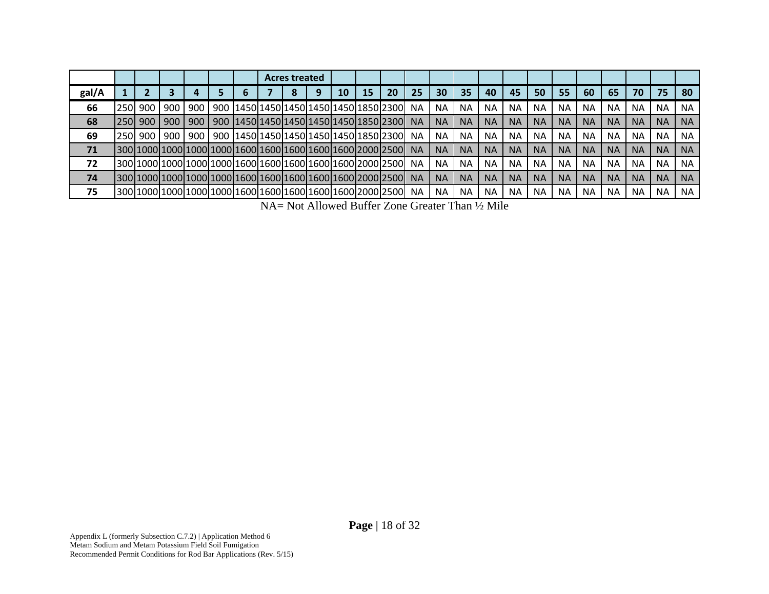|       |             |     |      |     |   | <b>Acres treated</b> |                                                             |    |    |    |           |           |           |           |           |           |           |           |           |           |           |           |
|-------|-------------|-----|------|-----|---|----------------------|-------------------------------------------------------------|----|----|----|-----------|-----------|-----------|-----------|-----------|-----------|-----------|-----------|-----------|-----------|-----------|-----------|
| gal/A |             |     |      |     | ь |                      |                                                             | 10 | 15 | 20 | 25        | 30        | 35        | 40        | 45        | 50        | 55        | 60        | 65        | 70        | 75        | 80        |
| 66    | 250         | 900 | 900  | 900 |   |                      | 900   1450   1450   1450   1450   1450   1450   1850   2300 |    |    |    | ΝA        | <b>NA</b> | NΑ        | <b>NA</b> | NA.       | NA.       | NA.       | <b>NA</b> | NA.       | ΝA        | <b>NA</b> | <b>NA</b> |
| 68    | <b>250L</b> | 900 | 900  | 900 |   |                      | 900   1450   1450   1450   1450   1450   1450   1850   2300 |    |    |    | <b>NA</b> | <b>NA</b> | <b>NA</b> | <b>NA</b> | <b>NA</b> | <b>NA</b> | <b>NA</b> | <b>NA</b> | <b>NA</b> | <b>NA</b> | <b>NA</b> | <b>NA</b> |
| 69    | 250L        | 900 | 1900 | 900 |   |                      | 900   1450   1450   1450   1450   1450   1850   2300        |    |    |    | ΝA        | <b>NA</b> | ΝA        | <b>NA</b> | <b>NA</b> | <b>NA</b> | <b>NA</b> | NA.       | <b>NA</b> | <b>NA</b> | <b>NA</b> | <b>NA</b> |
| 71    |             |     |      |     |   |                      |                                                             |    |    |    | <b>NA</b> | <b>NA</b> | <b>NA</b> | <b>NA</b> | <b>NA</b> | <b>NA</b> | <b>NA</b> | <b>NA</b> | <b>NA</b> | <b>NA</b> | <b>NA</b> | <b>NA</b> |
| 72    |             |     |      |     |   |                      |                                                             |    |    |    | <b>NA</b> | <b>NA</b> | ΝA        | <b>NA</b> | <b>NA</b> | <b>NA</b> | <b>NA</b> | <b>NA</b> | <b>NA</b> | <b>NA</b> | <b>NA</b> | <b>NA</b> |
| 74    |             |     |      |     |   |                      |                                                             |    |    |    | <b>NA</b> | <b>NA</b> | <b>NA</b> | <b>NA</b> | <b>NA</b> | <b>NA</b> | <b>NA</b> | <b>NA</b> | <b>NA</b> | <b>NA</b> | <b>NA</b> | <b>NA</b> |
| 75    |             |     |      |     |   |                      |                                                             |    |    |    | ΝA        | <b>NA</b> | <b>NA</b> | <b>NA</b> | <b>NA</b> | NA.       | <b>NA</b> | <b>NA</b> | <b>NA</b> | <b>NA</b> | <b>NA</b> | <b>NA</b> |

NA= Not Allowed Buffer Zone Greater Than ½ Mile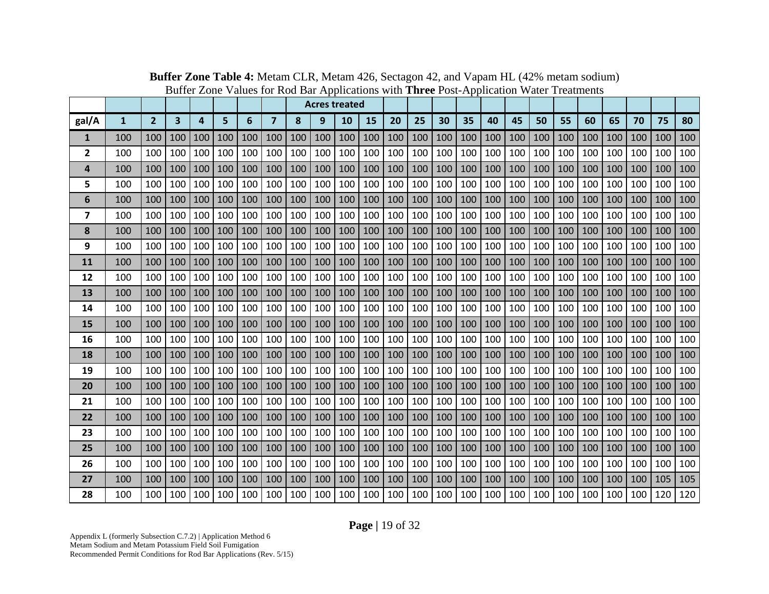|                |              |                |     |     |     |     |                |     |     | <b>Acres treated</b> |     |     |     |     |     |     |     |     |     |     |     |     |     |     |
|----------------|--------------|----------------|-----|-----|-----|-----|----------------|-----|-----|----------------------|-----|-----|-----|-----|-----|-----|-----|-----|-----|-----|-----|-----|-----|-----|
| gal/A          | $\mathbf{1}$ | $\overline{2}$ | 3   | 4   | 5   | 6   | $\overline{7}$ | 8   | 9   | 10                   | 15  | 20  | 25  | 30  | 35  | 40  | 45  | 50  | 55  | 60  | 65  | 70  | 75  | 80  |
| 1              | 100          | 100            | 100 | 100 | 100 | 100 | 100            | 100 | 100 | 100                  | 100 | 100 | 100 | 100 | 100 | 100 | 100 | 100 | 100 | 100 | 100 | 100 | 100 | 100 |
| $\overline{2}$ | 100          | 100            | 100 | 100 | 100 | 100 | 100            | 100 | 100 | 100                  | 100 | 100 | 100 | 100 | 100 | 100 | 100 | 100 | 100 | 100 | 100 | 100 | 100 | 100 |
| 4              | 100          | 100            | 100 | 100 | 100 | 100 | 100            | 100 | 100 | 100                  | 100 | 100 | 100 | 100 | 100 | 100 | 100 | 100 | 100 | 100 | 100 | 100 | 100 | 100 |
| 5              | 100          | 100            | 100 | 100 | 100 | 100 | 100            | 100 | 100 | 100                  | 100 | 100 | 100 | 100 | 100 | 100 | 100 | 100 | 100 | 100 | 100 | 100 | 100 | 100 |
| 6              | 100          | 100            | 100 | 100 | 100 | 100 | 100            | 100 | 100 | 100                  | 100 | 100 | 100 | 100 | 100 | 100 | 100 | 100 | 100 | 100 | 100 | 100 | 100 | 100 |
| 7              | 100          | 100            | 100 | 100 | 100 | 100 | 100            | 100 | 100 | 100                  | 100 | 100 | 100 | 100 | 100 | 100 | 100 | 100 | 100 | 100 | 100 | 100 | 100 | 100 |
| 8              | 100          | 100            | 100 | 100 | 100 | 100 | 100            | 100 | 100 | 100                  | 100 | 100 | 100 | 100 | 100 | 100 | 100 | 100 | 100 | 100 | 100 | 100 | 100 | 100 |
| 9              | 100          | 100            | 100 | 100 | 100 | 100 | 100            | 100 | 100 | 100                  | 100 | 100 | 100 | 100 | 100 | 100 | 100 | 100 | 100 | 100 | 100 | 100 | 100 | 100 |
| 11             | 100          | 100            | 100 | 100 | 100 | 100 | 100            | 100 | 100 | 100                  | 100 | 100 | 100 | 100 | 100 | 100 | 100 | 100 | 100 | 100 | 100 | 100 | 100 | 100 |
| 12             | 100          | 100            | 100 | 100 | 100 | 100 | 100            | 100 | 100 | 100                  | 100 | 100 | 100 | 100 | 100 | 100 | 100 | 100 | 100 | 100 | 100 | 100 | 100 | 100 |
| 13             | 100          | 100            | 100 | 100 | 100 | 100 | 100            | 100 | 100 | 100                  | 100 | 100 | 100 | 100 | 100 | 100 | 100 | 100 | 100 | 100 | 100 | 100 | 100 | 100 |
| 14             | 100          | 100            | 100 | 100 | 100 | 100 | 100            | 100 | 100 | 100                  | 100 | 100 | 100 | 100 | 100 | 100 | 100 | 100 | 100 | 100 | 100 | 100 | 100 | 100 |
| 15             | 100          | 100            | 100 | 100 | 100 | 100 | 100            | 100 | 100 | 100                  | 100 | 100 | 100 | 100 | 100 | 100 | 100 | 100 | 100 | 100 | 100 | 100 | 100 | 100 |
| 16             | 100          | 100            | 100 | 100 | 100 | 100 | 100            | 100 | 100 | 100                  | 100 | 100 | 100 | 100 | 100 | 100 | 100 | 100 | 100 | 100 | 100 | 100 | 100 | 100 |
| 18             | 100          | 100            | 100 | 100 | 100 | 100 | 100            | 100 | 100 | 100                  | 100 | 100 | 100 | 100 | 100 | 100 | 100 | 100 | 100 | 100 | 100 | 100 | 100 | 100 |
| 19             | 100          | 100            | 100 | 100 | 100 | 100 | 100            | 100 | 100 | 100                  | 100 | 100 | 100 | 100 | 100 | 100 | 100 | 100 | 100 | 100 | 100 | 100 | 100 | 100 |
| 20             | 100          | 100            | 100 | 100 | 100 | 100 | 100            | 100 | 100 | 100                  | 100 | 100 | 100 | 100 | 100 | 100 | 100 | 100 | 100 | 100 | 100 | 100 | 100 | 100 |
| 21             | 100          | 100            | 100 | 100 | 100 | 100 | 100            | 100 | 100 | 100                  | 100 | 100 | 100 | 100 | 100 | 100 | 100 | 100 | 100 | 100 | 100 | 100 | 100 | 100 |
| 22             | 100          | 100            | 100 | 100 | 100 | 100 | 100            | 100 | 100 | 100                  | 100 | 100 | 100 | 100 | 100 | 100 | 100 | 100 | 100 | 100 | 100 | 100 | 100 | 100 |
| 23             | 100          | 100            | 100 | 100 | 100 | 100 | 100            | 100 | 100 | 100                  | 100 | 100 | 100 | 100 | 100 | 100 | 100 | 100 | 100 | 100 | 100 | 100 | 100 | 100 |
| 25             | 100          | 100            | 100 | 100 | 100 | 100 | 100            | 100 | 100 | 100                  | 100 | 100 | 100 | 100 | 100 | 100 | 100 | 100 | 100 | 100 | 100 | 100 | 100 | 100 |
| 26             | 100          | 100            | 100 | 100 | 100 | 100 | 100            | 100 | 100 | 100                  | 100 | 100 | 100 | 100 | 100 | 100 | 100 | 100 | 100 | 100 | 100 | 100 | 100 | 100 |
| 27             | 100          | 100            | 100 | 100 | 100 | 100 | 100            | 100 | 100 | 100                  | 100 | 100 | 100 | 100 | 100 | 100 | 100 | 100 | 100 | 100 | 100 | 100 | 105 | 105 |
| 28             | 100          | 100            | 100 | 100 | 100 | 100 | 100            | 100 | 100 | 100                  | 100 | 100 | 100 | 100 | 100 | 100 | 100 | 100 | 100 | 100 | 100 | 100 | 120 | 120 |

**Buffer Zone Table 4:** Metam CLR, Metam 426, Sectagon 42, and Vapam HL (42% metam sodium) Buffer Zone Values for Rod Bar Applications with **Three** Post-Application Water Treatments

**Page |** 19 of 32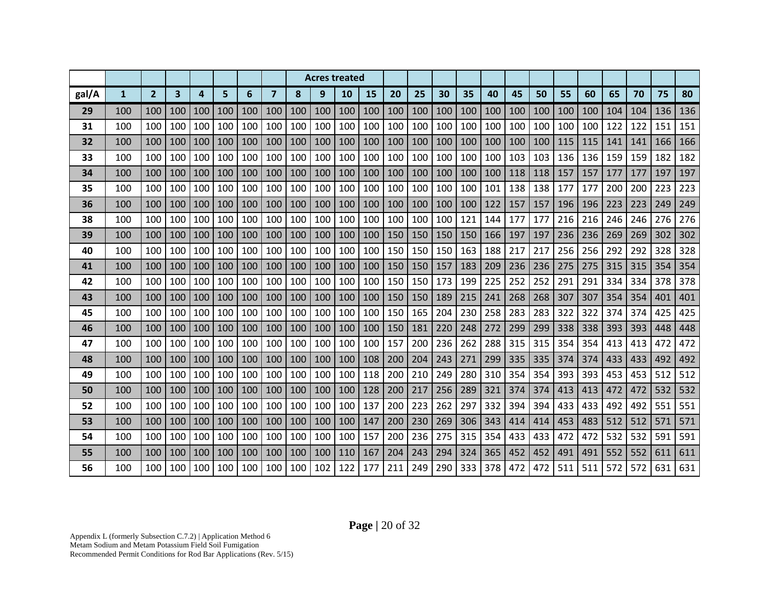|       |              |                |     |     |     |     |                |     |     | <b>Acres treated</b> |     |     |     |     |     |     |     |     |     |     |     |     |     |     |
|-------|--------------|----------------|-----|-----|-----|-----|----------------|-----|-----|----------------------|-----|-----|-----|-----|-----|-----|-----|-----|-----|-----|-----|-----|-----|-----|
| gal/A | $\mathbf{1}$ | $\overline{2}$ | 3   | 4   | 5   | 6   | $\overline{7}$ | 8   | 9   | 10                   | 15  | 20  | 25  | 30  | 35  | 40  | 45  | 50  | 55  | 60  | 65  | 70  | 75  | 80  |
| 29    | 100          | 100            | 100 | 100 | 100 | 100 | 100            | 100 | 100 | 100                  | 100 | 100 | 100 | 100 | 100 | 100 | 100 | 100 | 100 | 100 | 104 | 104 | 136 | 136 |
| 31    | 100          | 100            | 100 | 100 | 100 | 100 | 100            | 100 | 100 | 100                  | 100 | 100 | 100 | 100 | 100 | 100 | 100 | 100 | 100 | 100 | 122 | 122 | 151 | 151 |
| 32    | 100          | 100            | 100 | 100 | 100 | 100 | 100            | 100 | 100 | 100                  | 100 | 100 | 100 | 100 | 100 | 100 | 100 | 100 | 115 | 115 | 141 | 141 | 166 | 166 |
| 33    | 100          | 100            | 100 | 100 | 100 | 100 | 100            | 100 | 100 | 100                  | 100 | 100 | 100 | 100 | 100 | 100 | 103 | 103 | 136 | 136 | 159 | 159 | 182 | 182 |
| 34    | 100          | 100            | 100 | 100 | 100 | 100 | 100            | 100 | 100 | 100                  | 100 | 100 | 100 | 100 | 100 | 100 | 118 | 118 | 157 | 157 | 177 | 177 | 197 | 197 |
| 35    | 100          | 100            | 100 | 100 | 100 | 100 | 100            | 100 | 100 | 100                  | 100 | 100 | 100 | 100 | 100 | 101 | 138 | 138 | 177 | 177 | 200 | 200 | 223 | 223 |
| 36    | 100          | 100            | 100 | 100 | 100 | 100 | 100            | 100 | 100 | 100                  | 100 | 100 | 100 | 100 | 100 | 122 | 157 | 157 | 196 | 196 | 223 | 223 | 249 | 249 |
| 38    | 100          | 100            | 100 | 100 | 100 | 100 | 100            | 100 | 100 | 100                  | 100 | 100 | 100 | 100 | 121 | 144 | 177 | 177 | 216 | 216 | 246 | 246 | 276 | 276 |
| 39    | 100          | 100            | 100 | 100 | 100 | 100 | 100            | 100 | 100 | 100                  | 100 | 150 | 150 | 150 | 150 | 166 | 197 | 197 | 236 | 236 | 269 | 269 | 302 | 302 |
| 40    | 100          | 100            | 100 | 100 | 100 | 100 | 100            | 100 | 100 | 100                  | 100 | 150 | 150 | 150 | 163 | 188 | 217 | 217 | 256 | 256 | 292 | 292 | 328 | 328 |
| 41    | 100          | 100            | 100 | 100 | 100 | 100 | 100            | 100 | 100 | 100                  | 100 | 150 | 150 | 157 | 183 | 209 | 236 | 236 | 275 | 275 | 315 | 315 | 354 | 354 |
| 42    | 100          | 100            | 100 | 100 | 100 | 100 | 100            | 100 | 100 | 100                  | 100 | 150 | 150 | 173 | 199 | 225 | 252 | 252 | 291 | 291 | 334 | 334 | 378 | 378 |
| 43    | 100          | 100            | 100 | 100 | 100 | 100 | 100            | 100 | 100 | 100                  | 100 | 150 | 150 | 189 | 215 | 241 | 268 | 268 | 307 | 307 | 354 | 354 | 401 | 401 |
| 45    | 100          | 100            | 100 | 100 | 100 | 100 | 100            | 100 | 100 | 100                  | 100 | 150 | 165 | 204 | 230 | 258 | 283 | 283 | 322 | 322 | 374 | 374 | 425 | 425 |
| 46    | 100          | 100            | 100 | 100 | 100 | 100 | 100            | 100 | 100 | 100                  | 100 | 150 | 181 | 220 | 248 | 272 | 299 | 299 | 338 | 338 | 393 | 393 | 448 | 448 |
| 47    | 100          | 100            | 100 | 100 | 100 | 100 | 100            | 100 | 100 | 100                  | 100 | 157 | 200 | 236 | 262 | 288 | 315 | 315 | 354 | 354 | 413 | 413 | 472 | 472 |
| 48    | 100          | 100            | 100 | 100 | 100 | 100 | 100            | 100 | 100 | 100                  | 108 | 200 | 204 | 243 | 271 | 299 | 335 | 335 | 374 | 374 | 433 | 433 | 492 | 492 |
| 49    | 100          | 100            | 100 | 100 | 100 | 100 | 100            | 100 | 100 | 100                  | 118 | 200 | 210 | 249 | 280 | 310 | 354 | 354 | 393 | 393 | 453 | 453 | 512 | 512 |
| 50    | 100          | 100            | 100 | 100 | 100 | 100 | 100            | 100 | 100 | 100                  | 128 | 200 | 217 | 256 | 289 | 321 | 374 | 374 | 413 | 413 | 472 | 472 | 532 | 532 |
| 52    | 100          | 100            | 100 | 100 | 100 | 100 | 100            | 100 | 100 | 100                  | 137 | 200 | 223 | 262 | 297 | 332 | 394 | 394 | 433 | 433 | 492 | 492 | 551 | 551 |
| 53    | 100          | 100            | 100 | 100 | 100 | 100 | 100            | 100 | 100 | 100                  | 147 | 200 | 230 | 269 | 306 | 343 | 414 | 414 | 453 | 483 | 512 | 512 | 571 | 571 |
| 54    | 100          | 100            | 100 | 100 | 100 | 100 | 100            | 100 | 100 | 100                  | 157 | 200 | 236 | 275 | 315 | 354 | 433 | 433 | 472 | 472 | 532 | 532 | 591 | 591 |
| 55    | 100          | 100            | 100 | 100 | 100 | 100 | 100            | 100 | 100 | 110                  | 167 | 204 | 243 | 294 | 324 | 365 | 452 | 452 | 491 | 491 | 552 | 552 | 611 | 611 |
| 56    | 100          | 100            | 100 | 100 | 100 | 100 | 100            | 100 | 102 | 122                  | 177 | 211 | 249 | 290 | 333 | 378 | 472 | 472 | 511 | 511 | 572 | 572 | 631 | 631 |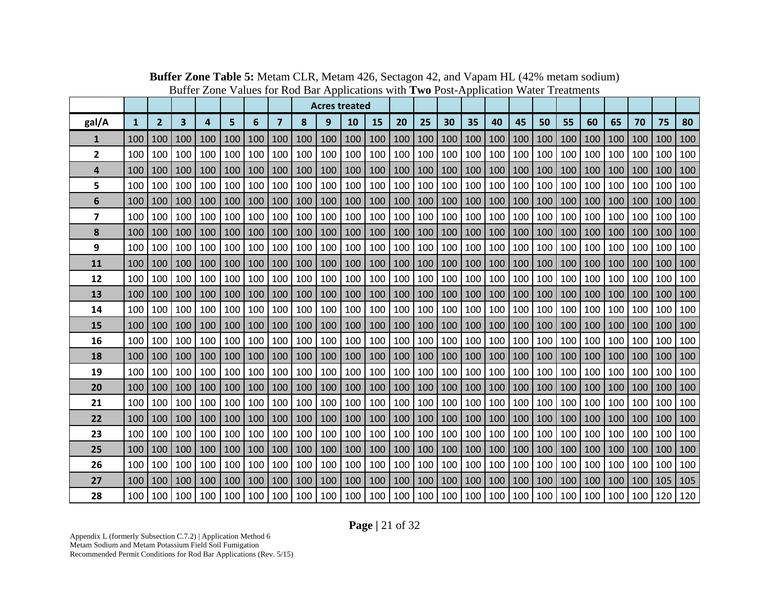|                |              |                |     |     |     |     |                |     |     | <b>Acres treated</b> |     |     |     |     |     |     |     |     |     |     |     |     |     |     |
|----------------|--------------|----------------|-----|-----|-----|-----|----------------|-----|-----|----------------------|-----|-----|-----|-----|-----|-----|-----|-----|-----|-----|-----|-----|-----|-----|
| gal/A          | $\mathbf{1}$ | $\overline{2}$ | 3   | 4   | 5   | 6   | $\overline{7}$ | 8   | 9   | 10                   | 15  | 20  | 25  | 30  | 35  | 40  | 45  | 50  | 55  | 60  | 65  | 70  | 75  | 80  |
| 1              | 100          | 100            | 100 | 100 | 100 | 100 | 100            | 100 | 100 | 100                  | 100 | 100 | 100 | 100 | 100 | 100 | 100 | 100 | 100 | 100 | 100 | 100 | 100 | 100 |
| $\overline{2}$ | 100          | 100            | 100 | 100 | 100 | 100 | 100            | 100 | 100 | 100                  | 100 | 100 | 100 | 100 | 100 | 100 | 100 | 100 | 100 | 100 | 100 | 100 | 100 | 100 |
| 4              | 100          | 100            | 100 | 100 | 100 | 100 | 100            | 100 | 100 | 100                  | 100 | 100 | 100 | 100 | 100 | 100 | 100 | 100 | 100 | 100 | 100 | 100 | 100 | 100 |
| 5              | 100          | 100            | 100 | 100 | 100 | 100 | 100            | 100 | 100 | 100                  | 100 | 100 | 100 | 100 | 100 | 100 | 100 | 100 | 100 | 100 | 100 | 100 | 100 | 100 |
| 6              | 100          | 100            | 100 | 100 | 100 | 100 | 100            | 100 | 100 | 100                  | 100 | 100 | 100 | 100 | 100 | 100 | 100 | 100 | 100 | 100 | 100 | 100 | 100 | 100 |
| 7              | 100          | 100            | 100 | 100 | 100 | 100 | 100            | 100 | 100 | 100                  | 100 | 100 | 100 | 100 | 100 | 100 | 100 | 100 | 100 | 100 | 100 | 100 | 100 | 100 |
| 8              | 100          | 100            | 100 | 100 | 100 | 100 | 100            | 100 | 100 | 100                  | 100 | 100 | 100 | 100 | 100 | 100 | 100 | 100 | 100 | 100 | 100 | 100 | 100 | 100 |
| 9              | 100          | 100            | 100 | 100 | 100 | 100 | 100            | 100 | 100 | 100                  | 100 | 100 | 100 | 100 | 100 | 100 | 100 | 100 | 100 | 100 | 100 | 100 | 100 | 100 |
| 11             | 100          | 100            | 100 | 100 | 100 | 100 | 100            | 100 | 100 | 100                  | 100 | 100 | 100 | 100 | 100 | 100 | 100 | 100 | 100 | 100 | 100 | 100 | 100 | 100 |
| 12             | 100          | 100            | 100 | 100 | 100 | 100 | 100            | 100 | 100 | 100                  | 100 | 100 | 100 | 100 | 100 | 100 | 100 | 100 | 100 | 100 | 100 | 100 | 100 | 100 |
| 13             | 100          | 100            | 100 | 100 | 100 | 100 | 100            | 100 | 100 | 100                  | 100 | 100 | 100 | 100 | 100 | 100 | 100 | 100 | 100 | 100 | 100 | 100 | 100 | 100 |
| 14             | 100          | 100            | 100 | 100 | 100 | 100 | 100            | 100 | 100 | 100                  | 100 | 100 | 100 | 100 | 100 | 100 | 100 | 100 | 100 | 100 | 100 | 100 | 100 | 100 |
| 15             | 100          | 100            | 100 | 100 | 100 | 100 | 100            | 100 | 100 | 100                  | 100 | 100 | 100 | 100 | 100 | 100 | 100 | 100 | 100 | 100 | 100 | 100 | 100 | 100 |
| 16             | 100          | 100            | 100 | 100 | 100 | 100 | 100            | 100 | 100 | 100                  | 100 | 100 | 100 | 100 | 100 | 100 | 100 | 100 | 100 | 100 | 100 | 100 | 100 | 100 |
| 18             | 100          | 100            | 100 | 100 | 100 | 100 | 100            | 100 | 100 | 100                  | 100 | 100 | 100 | 100 | 100 | 100 | 100 | 100 | 100 | 100 | 100 | 100 | 100 | 100 |
| 19             | 100          | 100            | 100 | 100 | 100 | 100 | 100            | 100 | 100 | 100                  | 100 | 100 | 100 | 100 | 100 | 100 | 100 | 100 | 100 | 100 | 100 | 100 | 100 | 100 |
| 20             | 100          | 100            | 100 | 100 | 100 | 100 | 100            | 100 | 100 | 100                  | 100 | 100 | 100 | 100 | 100 | 100 | 100 | 100 | 100 | 100 | 100 | 100 | 100 | 100 |
| 21             | 100          | 100            | 100 | 100 | 100 | 100 | 100            | 100 | 100 | 100                  | 100 | 100 | 100 | 100 | 100 | 100 | 100 | 100 | 100 | 100 | 100 | 100 | 100 | 100 |
| 22             | 100          | 100            | 100 | 100 | 100 | 100 | 100            | 100 | 100 | 100                  | 100 | 100 | 100 | 100 | 100 | 100 | 100 | 100 | 100 | 100 | 100 | 100 | 100 | 100 |
| 23             | 100          | 100            | 100 | 100 | 100 | 100 | 100            | 100 | 100 | 100                  | 100 | 100 | 100 | 100 | 100 | 100 | 100 | 100 | 100 | 100 | 100 | 100 | 100 | 100 |
| 25             | 100          | 100            | 100 | 100 | 100 | 100 | 100            | 100 | 100 | 100                  | 100 | 100 | 100 | 100 | 100 | 100 | 100 | 100 | 100 | 100 | 100 | 100 | 100 | 100 |
| 26             | 100          | 100            | 100 | 100 | 100 | 100 | 100            | 100 | 100 | 100                  | 100 | 100 | 100 | 100 | 100 | 100 | 100 | 100 | 100 | 100 | 100 | 100 | 100 | 100 |
| 27             | 100          | 100            | 100 | 100 | 100 | 100 | 100            | 100 | 100 | 100                  | 100 | 100 | 100 | 100 | 100 | 100 | 100 | 100 | 100 | 100 | 100 | 100 | 105 | 105 |
| 28             | 100 l        | 100            | 100 | 100 | 100 | 100 | 100            | 100 | 100 | 100                  | 100 | 100 | 100 | 100 | 100 | 100 | 100 | 100 | 100 | 100 | 100 | 100 | 120 | 120 |

**Buffer Zone Table 5:** Metam CLR, Metam 426, Sectagon 42, and Vapam HL (42% metam sodium) Buffer Zone Values for Rod Bar Applications with **Two** Post-Application Water Treatments

**Page |** 21 of 32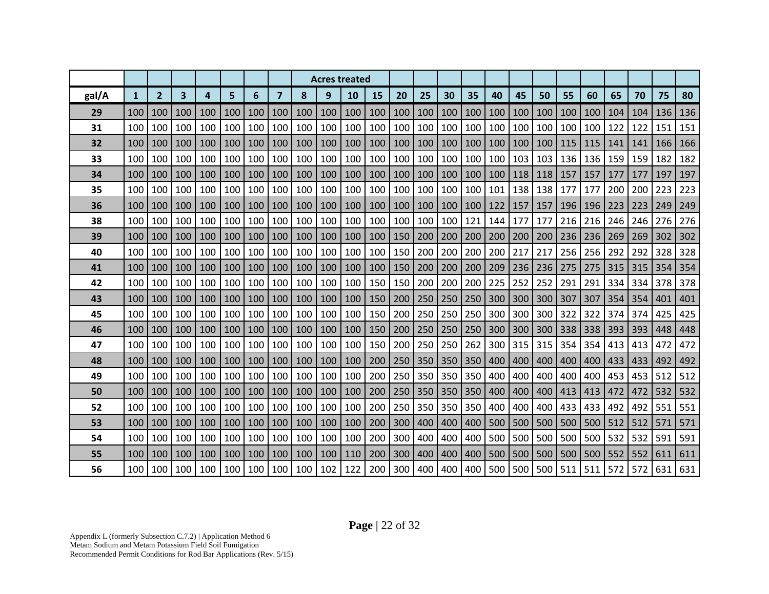|       |              |                |                         |     |     |     |                |     |     | <b>Acres treated</b> |     |     |     |     |     |     |     |     |     |     |     |     |     |     |
|-------|--------------|----------------|-------------------------|-----|-----|-----|----------------|-----|-----|----------------------|-----|-----|-----|-----|-----|-----|-----|-----|-----|-----|-----|-----|-----|-----|
| gal/A | $\mathbf{1}$ | $\overline{2}$ | $\overline{\mathbf{3}}$ | 4   | 5   | 6   | $\overline{7}$ | 8   | 9   | 10                   | 15  | 20  | 25  | 30  | 35  | 40  | 45  | 50  | 55  | 60  | 65  | 70  | 75  | 80  |
| 29    | 100          | 100            | 100                     | 100 | 100 | 100 | 100            | 100 | 100 | 100                  | 100 | 100 | 100 | 100 | 100 | 100 | 100 | 100 | 100 | 100 | 104 | 104 | 136 | 136 |
| 31    | 100          | 100            | 100                     | 100 | 100 | 100 | 100            | 100 | 100 | 100                  | 100 | 100 | 100 | 100 | 100 | 100 | 100 | 100 | 100 | 100 | 122 | 122 | 151 | 151 |
| 32    | 100          | 100            | 100                     | 100 | 100 | 100 | 100            | 100 | 100 | 100                  | 100 | 100 | 100 | 100 | 100 | 100 | 100 | 100 | 115 | 115 | 141 | 141 | 166 | 166 |
| 33    | 100          | 100            | 100                     | 100 | 100 | 100 | 100            | 100 | 100 | 100                  | 100 | 100 | 100 | 100 | 100 | 100 | 103 | 103 | 136 | 136 | 159 | 159 | 182 | 182 |
| 34    | 100          | 100            | 100                     | 100 | 100 | 100 | 100            | 100 | 100 | 100                  | 100 | 100 | 100 | 100 | 100 | 100 | 118 | 118 | 157 | 157 | 177 | 177 | 197 | 197 |
| 35    | 100          | 100            | 100                     | 100 | 100 | 100 | 100            | 100 | 100 | 100                  | 100 | 100 | 100 | 100 | 100 | 101 | 138 | 138 | 177 | 177 | 200 | 200 | 223 | 223 |
| 36    | 100          | 100            | 100                     | 100 | 100 | 100 | 100            | 100 | 100 | 100                  | 100 | 100 | 100 | 100 | 100 | 122 | 157 | 157 | 196 | 196 | 223 | 223 | 249 | 249 |
| 38    | 100          | 100            | 100                     | 100 | 100 | 100 | 100            | 100 | 100 | 100                  | 100 | 100 | 100 | 100 | 121 | 144 | 177 | 177 | 216 | 216 | 246 | 246 | 276 | 276 |
| 39    | 100          | 100            | 100                     | 100 | 100 | 100 | 100            | 100 | 100 | 100                  | 100 | 150 | 200 | 200 | 200 | 200 | 200 | 200 | 236 | 236 | 269 | 269 | 302 | 302 |
| 40    | 100          | 100            | 100                     | 100 | 100 | 100 | 100            | 100 | 100 | 100                  | 100 | 150 | 200 | 200 | 200 | 200 | 217 | 217 | 256 | 256 | 292 | 292 | 328 | 328 |
| 41    | 100          | 100            | 100                     | 100 | 100 | 100 | 100            | 100 | 100 | 100                  | 100 | 150 | 200 | 200 | 200 | 209 | 236 | 236 | 275 | 275 | 315 | 315 | 354 | 354 |
| 42    | 100          | 100            | 100                     | 100 | 100 | 100 | 100            | 100 | 100 | 100                  | 150 | 150 | 200 | 200 | 200 | 225 | 252 | 252 | 291 | 291 | 334 | 334 | 378 | 378 |
| 43    | 100          | 100            | 100                     | 100 | 100 | 100 | 100            | 100 | 100 | 100                  | 150 | 200 | 250 | 250 | 250 | 300 | 300 | 300 | 307 | 307 | 354 | 354 | 401 | 401 |
| 45    | 100          | 100            | 100                     | 100 | 100 | 100 | 100            | 100 | 100 | 100                  | 150 | 200 | 250 | 250 | 250 | 300 | 300 | 300 | 322 | 322 | 374 | 374 | 425 | 425 |
| 46    | 100          | 100            | 100                     | 100 | 100 | 100 | 100            | 100 | 100 | 100                  | 150 | 200 | 250 | 250 | 250 | 300 | 300 | 300 | 338 | 338 | 393 | 393 | 448 | 448 |
| 47    | 100          | 100            | 100                     | 100 | 100 | 100 | 100            | 100 | 100 | 100                  | 150 | 200 | 250 | 250 | 262 | 300 | 315 | 315 | 354 | 354 | 413 | 413 | 472 | 472 |
| 48    | 100          | 100            | 100                     | 100 | 100 | 100 | 100            | 100 | 100 | 100                  | 200 | 250 | 350 | 350 | 350 | 400 | 400 | 400 | 400 | 400 | 433 | 433 | 492 | 492 |
| 49    | 100          | 100            | 100                     | 100 | 100 | 100 | 100            | 100 | 100 | 100                  | 200 | 250 | 350 | 350 | 350 | 400 | 400 | 400 | 400 | 400 | 453 | 453 | 512 | 512 |
| 50    | 100          | 100            | 100                     | 100 | 100 | 100 | 100            | 100 | 100 | 100                  | 200 | 250 | 350 | 350 | 350 | 400 | 400 | 400 | 413 | 413 | 472 | 472 | 532 | 532 |
| 52    | 100          | 100            | 100                     | 100 | 100 | 100 | 100            | 100 | 100 | 100                  | 200 | 250 | 350 | 350 | 350 | 400 | 400 | 400 | 433 | 433 | 492 | 492 | 551 | 551 |
| 53    | 100          | 100            | 100                     | 100 | 100 | 100 | 100            | 100 | 100 | 100                  | 200 | 300 | 400 | 400 | 400 | 500 | 500 | 500 | 500 | 500 | 512 | 512 | 571 | 571 |
| 54    | 100          | 100            | 100                     | 100 | 100 | 100 | 100            | 100 | 100 | 100                  | 200 | 300 | 400 | 400 | 400 | 500 | 500 | 500 | 500 | 500 | 532 | 532 | 591 | 591 |
| 55    | 100          | 100            | 100                     | 100 | 100 | 100 | 100            | 100 | 100 | 110                  | 200 | 300 | 400 | 400 | 400 | 500 | 500 | 500 | 500 | 500 | 552 | 552 | 611 | 611 |
| 56    | 100          | 100            | 100                     | 100 | 100 | 100 | 100            | 100 | 102 | 122                  | 200 | 300 | 400 | 400 | 400 | 500 | 500 | 500 | 511 | 511 | 572 | 572 | 631 | 631 |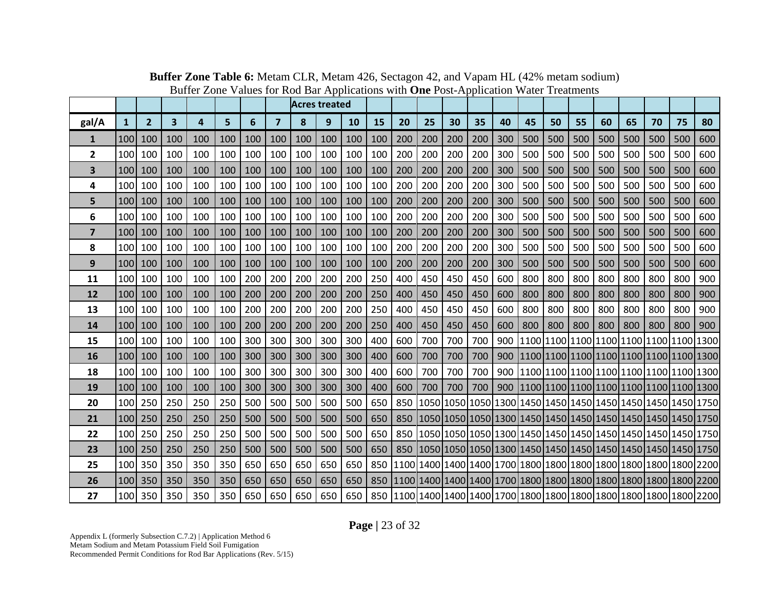|                |                   |                |     |     |     |     |                | <b>Acres treated</b> |     |     |     |     |     |     |     |     |     |     |     |     |     |     |                                                                      |     |
|----------------|-------------------|----------------|-----|-----|-----|-----|----------------|----------------------|-----|-----|-----|-----|-----|-----|-----|-----|-----|-----|-----|-----|-----|-----|----------------------------------------------------------------------|-----|
| gal/A          | $\mathbf{1}$      | $\overline{2}$ | 3   | 4   | 5   | 6   | $\overline{7}$ | 8                    | 9   | 10  | 15  | 20  | 25  | 30  | 35  | 40  | 45  | 50  | 55  | 60  | 65  | 70  | 75                                                                   | 80  |
| 1              | 100               | 100            | 100 | 100 | 100 | 100 | 100            | 100                  | 100 | 100 | 100 | 200 | 200 | 200 | 200 | 300 | 500 | 500 | 500 | 500 | 500 | 500 | 500                                                                  | 600 |
| $\mathbf{2}$   | 100               | 100            | 100 | 100 | 100 | 100 | 100            | 100                  | 100 | 100 | 100 | 200 | 200 | 200 | 200 | 300 | 500 | 500 | 500 | 500 | 500 | 500 | 500                                                                  | 600 |
| 3              | 100 <sup>I</sup>  | 100            | 100 | 100 | 100 | 100 | 100            | 100                  | 100 | 100 | 100 | 200 | 200 | 200 | 200 | 300 | 500 | 500 | 500 | 500 | 500 | 500 | 500                                                                  | 600 |
| 4              | 100               | 100            | 100 | 100 | 100 | 100 | 100            | 100                  | 100 | 100 | 100 | 200 | 200 | 200 | 200 | 300 | 500 | 500 | 500 | 500 | 500 | 500 | 500                                                                  | 600 |
| 5              | 100 <sup>I</sup>  | 100            | 100 | 100 | 100 | 100 | 100            | 100                  | 100 | 100 | 100 | 200 | 200 | 200 | 200 | 300 | 500 | 500 | 500 | 500 | 500 | 500 | 500                                                                  | 600 |
| 6              | 100 <sup>1</sup>  | 100            | 100 | 100 | 100 | 100 | 100            | 100                  | 100 | 100 | 100 | 200 | 200 | 200 | 200 | 300 | 500 | 500 | 500 | 500 | 500 | 500 | 500                                                                  | 600 |
| $\overline{7}$ | 100               | 100            | 100 | 100 | 100 | 100 | 100            | 100                  | 100 | 100 | 100 | 200 | 200 | 200 | 200 | 300 | 500 | 500 | 500 | 500 | 500 | 500 | 500                                                                  | 600 |
| 8              | 100 <sup> </sup>  | 100            | 100 | 100 | 100 | 100 | 100            | 100                  | 100 | 100 | 100 | 200 | 200 | 200 | 200 | 300 | 500 | 500 | 500 | 500 | 500 | 500 | 500                                                                  | 600 |
| 9              | 100 <sup>I</sup>  | 100            | 100 | 100 | 100 | 100 | 100            | 100                  | 100 | 100 | 100 | 200 | 200 | 200 | 200 | 300 | 500 | 500 | 500 | 500 | 500 | 500 | 500                                                                  | 600 |
| 11             | 100 <sup>-1</sup> | 100            | 100 | 100 | 100 | 200 | 200            | 200                  | 200 | 200 | 250 | 400 | 450 | 450 | 450 | 600 | 800 | 800 | 800 | 800 | 800 | 800 | 800                                                                  | 900 |
| <b>12</b>      | 100               | 100            | 100 | 100 | 100 | 200 | 200            | 200                  | 200 | 200 | 250 | 400 | 450 | 450 | 450 | 600 | 800 | 800 | 800 | 800 | 800 | 800 | 800                                                                  | 900 |
| 13             | 100 <sup>-1</sup> | 100            | 100 | 100 | 100 | 200 | 200            | 200                  | 200 | 200 | 250 | 400 | 450 | 450 | 450 | 600 | 800 | 800 | 800 | 800 | 800 | 800 | 800                                                                  | 900 |
| 14             | 100 <sup>1</sup>  | 100            | 100 | 100 | 100 | 200 | 200            | 200                  | 200 | 200 | 250 | 400 | 450 | 450 | 450 | 600 | 800 | 800 | 800 | 800 | 800 | 800 | 800                                                                  | 900 |
| 15             | 100               | 100            | 100 | 100 | 100 | 300 | 300            | 300                  | 300 | 300 | 400 | 600 | 700 | 700 | 700 |     |     |     |     |     |     |     | 900  1100  1100  1100  1100  1100  1100  1100  1300                  |     |
| 16             | 100               | 100            | 100 | 100 | 100 | 300 | 300            | 300                  | 300 | 300 | 400 | 600 | 700 | 700 | 700 | 900 |     |     |     |     |     |     | 1100 1100 1100 1100 1100 1100 1100 1300                              |     |
| 18             | 100               | 100            | 100 | 100 | 100 | 300 | 300            | 300                  | 300 | 300 | 400 | 600 | 700 | 700 | 700 |     |     |     |     |     |     |     | 900   1100   1100   1100   1100   1100   1100   1100   1300          |     |
| 19             | 100 <sup>I</sup>  | 100            | 100 | 100 | 100 | 300 | 300            | 300                  | 300 | 300 | 400 | 600 | 700 | 700 | 700 |     |     |     |     |     |     |     | 900  1100  1100  1100  1100  1100  1100  1100  1300                  |     |
| 20             | 100 <sup>-1</sup> | 250            | 250 | 250 | 250 | 500 | 500            | 500                  | 500 | 500 | 650 | 850 |     |     |     |     |     |     |     |     |     |     | 1050 1050 1050 1300 1450 1450 1450 1450 1450 1450 1450 1750          |     |
| 21             | 100 <sup>I</sup>  | 250            | 250 | 250 | 250 | 500 | 500            | 500                  | 500 | 500 | 650 | 850 |     |     |     |     |     |     |     |     |     |     | 1050 1050 1050 1300 1450 1450 1450 1450 1450 1450 1750               |     |
| 22             | 100               | 250            | 250 | 250 | 250 | 500 | 500            | 500                  | 500 | 500 | 650 |     |     |     |     |     |     |     |     |     |     |     | 850 1050 1050 1050 1050 1230 1450 1450 1450 1450 1450 1450 1450 1750 |     |
| 23             | 100               | 250            | 250 | 250 | 250 | 500 | 500            | 500                  | 500 | 500 | 650 |     |     |     |     |     |     |     |     |     |     |     | 850 1050 1050 1050 1300 1450 1450 1450 1450 1450 1450 1450 1750      |     |
| 25             | 100 <sup> </sup>  | 350            | 350 | 350 | 350 | 650 | 650            | 650                  | 650 | 650 | 850 |     |     |     |     |     |     |     |     |     |     |     |                                                                      |     |
| 26             | 100               | 350            | 350 | 350 | 350 | 650 | 650            | 650                  | 650 | 650 |     |     |     |     |     |     |     |     |     |     |     |     |                                                                      |     |
| 27             |                   | 100 350        | 350 | 350 | 350 | 650 | 650 l          | 650 l                | 650 | 650 |     |     |     |     |     |     |     |     |     |     |     |     |                                                                      |     |

**Buffer Zone Table 6:** Metam CLR, Metam 426, Sectagon 42, and Vapam HL (42% metam sodium) Buffer Zone Values for Rod Bar Applications with **One** Post-Application Water Treatments

**Page |** 23 of 32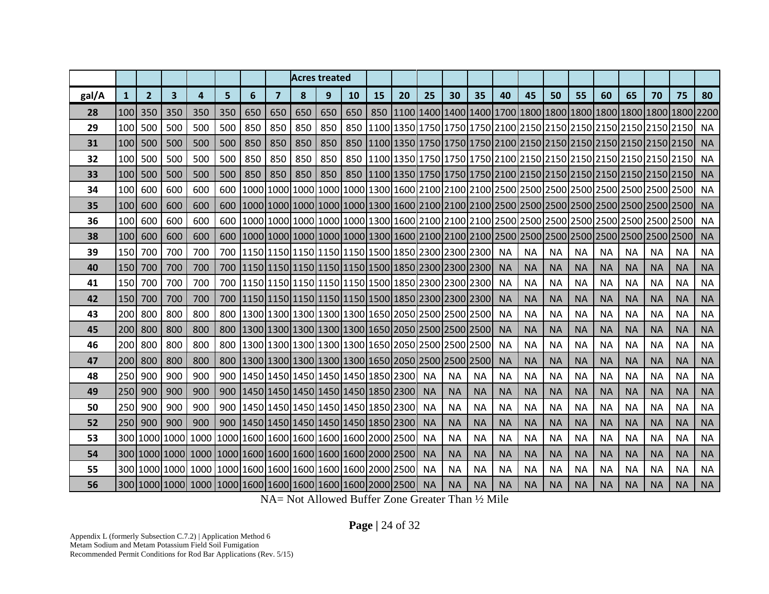|       |                  |                |              |     |     |     |                |     | <b>Acres treated</b>                                  |     |    |    |           |           |           |           |           |           |           |           |           |           |           |           |
|-------|------------------|----------------|--------------|-----|-----|-----|----------------|-----|-------------------------------------------------------|-----|----|----|-----------|-----------|-----------|-----------|-----------|-----------|-----------|-----------|-----------|-----------|-----------|-----------|
| gal/A | 1                | $\overline{2}$ | $\mathbf{3}$ | 4   | 5   | 6   | $\overline{7}$ | 8   | 9                                                     | 10  | 15 | 20 | 25        | 30        | 35        | 40        | 45        | 50        | 55        | 60        | 65        | 70        | 75        | 80        |
| 28    | 100 <sup>1</sup> | 350            | 350          | 350 | 350 | 650 | 650            | 650 | 650                                                   | 650 |    |    |           |           |           |           |           |           |           |           |           |           |           |           |
| 29    | 100              | 500            | 500          | 500 | 500 | 850 | 850            | 850 | 850                                                   | 850 |    |    |           |           |           |           |           |           |           |           |           |           |           | <b>NA</b> |
| 31    | 100              | 500            | 500          | 500 | 500 | 850 | 850            | 850 | 850                                                   |     |    |    |           |           |           |           |           |           |           |           |           |           |           | <b>NA</b> |
| 32    | 100              | 500            | 500          | 500 | 500 | 850 | 850            | 850 | 850                                                   |     |    |    |           |           |           |           |           |           |           |           |           |           |           | <b>NA</b> |
| 33    | 100 <sup>1</sup> | 500            | 500          | 500 | 500 | 850 | 850            | 850 | 850                                                   |     |    |    |           |           |           |           |           |           |           |           |           |           |           | <b>NA</b> |
| 34    | 100              | 600            | 600          | 600 | 600 |     |                |     |                                                       |     |    |    |           |           |           |           |           |           |           |           |           |           |           | <b>NA</b> |
| 35    | 100 <sup>1</sup> | 600            | 600          | 600 | 600 |     |                |     |                                                       |     |    |    |           |           |           |           |           |           |           |           |           |           |           | <b>NA</b> |
| 36    | 100              | 600            | 600          | 600 | 600 |     |                |     |                                                       |     |    |    |           |           |           |           |           |           |           |           |           |           |           | <b>NA</b> |
| 38    | <b>100</b>       | 600            | 600          | 600 | 600 |     |                |     |                                                       |     |    |    |           |           |           |           |           |           |           |           |           |           |           | <b>NA</b> |
| 39    | 150              | 700            | 700          | 700 | 700 |     |                |     | 1150 1150 1150 1150 1150 1500 1850 2300 2300 2300  NA |     |    |    |           |           |           |           | <b>NA</b> | <b>NA</b> | <b>NA</b> | <b>NA</b> | <b>NA</b> | <b>NA</b> | <b>NA</b> | <b>NA</b> |
| 40    | <b>150</b>       | 700            | 700          | 700 | 700 |     |                |     | 1150 1150 1150 1150 1150 1500 1850 2300 2300 2300     |     |    |    |           |           |           | <b>NA</b> | <b>NA</b> | <b>NA</b> | <b>NA</b> | <b>NA</b> | <b>NA</b> | <b>NA</b> | <b>NA</b> | <b>NA</b> |
| 41    | 150              | 700            | 700          | 700 | 700 |     |                |     | 1150 1150 1150 1150 1150 1500 1850 2300 2300 2300     |     |    |    |           |           |           | <b>NA</b> | <b>NA</b> | <b>NA</b> | <b>NA</b> | <b>NA</b> | <b>NA</b> | <b>NA</b> | <b>NA</b> | <b>NA</b> |
| 42    | 150 <sup>I</sup> | 700            | 700          | 700 | 700 |     |                |     | 1150 1150 1150 1150 1150 1500 1850 2300 2300 2300     |     |    |    |           |           |           | <b>NA</b> | <b>NA</b> | <b>NA</b> | <b>NA</b> | <b>NA</b> | <b>NA</b> | <b>NA</b> | <b>NA</b> | <b>NA</b> |
| 43    | 200              | 800            | 800          | 800 | 800 |     |                |     | 1300 1300 1300 1300 1300 1650 2050 2500 2500 2500     |     |    |    |           |           |           | <b>NA</b> | <b>NA</b> | <b>NA</b> | <b>NA</b> | <b>NA</b> | <b>NA</b> | <b>NA</b> | <b>NA</b> | <b>NA</b> |
| 45    | 200 <sup>1</sup> | 800            | 800          | 800 | 800 |     |                |     | 1300 1300 1300 1300 1300 1650 2050 2500 2500 2500     |     |    |    |           |           |           | <b>NA</b> | <b>NA</b> | <b>NA</b> | <b>NA</b> | <b>NA</b> | <b>NA</b> | <b>NA</b> | <b>NA</b> | <b>NA</b> |
| 46    | 200              | 800            | 800          | 800 | 800 |     |                |     | 1300 1300 1300 1300 1300 1650 2050 2500 2500 2500     |     |    |    |           |           |           | <b>NA</b> | <b>NA</b> | <b>NA</b> | <b>NA</b> | <b>NA</b> | <b>NA</b> | <b>NA</b> | <b>NA</b> | <b>NA</b> |
| 47    | 200              | 800            | 800          | 800 | 800 |     |                |     | 1300 1300 1300 1300 1300 1650 2050 2500 2500 2500     |     |    |    |           |           |           | <b>NA</b> | <b>NA</b> | <b>NA</b> | <b>NA</b> | <b>NA</b> | <b>NA</b> | <b>NA</b> | <b>NA</b> | <b>NA</b> |
| 48    | 250              | 900            | 900          | 900 | 900 |     |                |     | 1450 1450 1450 1450 1450 1850 2300                    |     |    |    | NA.       | <b>NA</b> | ΝA        | <b>NA</b> | <b>NA</b> | <b>NA</b> | <b>NA</b> | <b>NA</b> | <b>NA</b> | <b>NA</b> | <b>NA</b> | <b>NA</b> |
| 49    | 250              | 900            | 900          | 900 |     |     |                |     | 900   1450   1450   1450   1450   1450   1850   2300  |     |    |    | <b>NA</b> | <b>NA</b> | <b>NA</b> | <b>NA</b> | <b>NA</b> | <b>NA</b> | <b>NA</b> | <b>NA</b> | <b>NA</b> | <b>NA</b> | <b>NA</b> | <b>NA</b> |
| 50    | 250              | 900            | 900          | 900 |     |     |                |     | 900   1450   1450   1450   1450   1450   1850   2300  |     |    |    | <b>NA</b> | <b>NA</b> | <b>NA</b> | <b>NA</b> | <b>NA</b> | <b>NA</b> | <b>NA</b> | <b>NA</b> | <b>NA</b> | <b>NA</b> | <b>NA</b> | <b>NA</b> |
| 52    | 250l             | 900            | 900          | 900 |     |     |                |     | 900   1450   1450   1450   1450   1450   1850   2300  |     |    |    | <b>NA</b> | <b>NA</b> | <b>NA</b> | <b>NA</b> | <b>NA</b> | <b>NA</b> | <b>NA</b> | <b>NA</b> | <b>NA</b> | <b>NA</b> | <b>NA</b> | <b>NA</b> |
| 53    |                  |                |              |     |     |     |                |     |                                                       |     |    |    | ΝA        | <b>NA</b> | <b>NA</b> | <b>NA</b> | <b>NA</b> | <b>NA</b> | <b>NA</b> | <b>NA</b> | <b>NA</b> | <b>NA</b> | <b>NA</b> | <b>NA</b> |
| 54    |                  |                |              |     |     |     |                |     |                                                       |     |    |    | <b>NA</b> | <b>NA</b> | <b>NA</b> | <b>NA</b> | <b>NA</b> | <b>NA</b> | <b>NA</b> | <b>NA</b> | <b>NA</b> | <b>NA</b> | <b>NA</b> | <b>NA</b> |
| 55    |                  |                |              |     |     |     |                |     |                                                       |     |    |    | ΝA        | <b>NA</b> | <b>NA</b> | <b>NA</b> | <b>NA</b> | <b>NA</b> | <b>NA</b> | <b>NA</b> | <b>NA</b> | <b>NA</b> | <b>NA</b> | <b>NA</b> |
| 56    |                  |                |              |     |     |     |                |     |                                                       |     |    |    | <b>NA</b> | <b>NA</b> | <b>NA</b> | <b>NA</b> | <b>NA</b> | <b>NA</b> | <b>NA</b> | <b>NA</b> | <b>NA</b> | <b>NA</b> | <b>NA</b> | <b>NA</b> |

NA= Not Allowed Buffer Zone Greater Than ½ Mile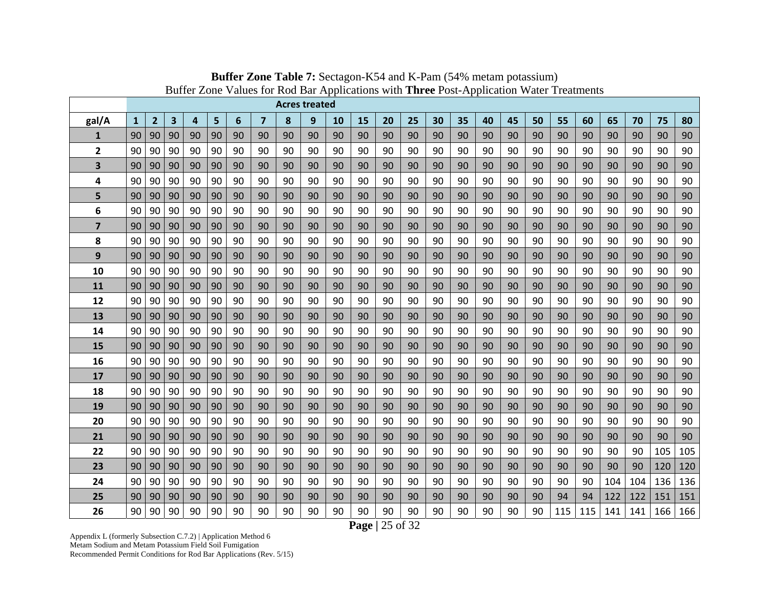|       |              |                |    |                |    |    |                |    | <b>Acres treated</b> |    |    |    |    |    |    |    |    |    |     |     |     |     |     |     |
|-------|--------------|----------------|----|----------------|----|----|----------------|----|----------------------|----|----|----|----|----|----|----|----|----|-----|-----|-----|-----|-----|-----|
| gal/A | $\mathbf{1}$ | $\overline{2}$ | 3  | $\overline{a}$ | 5  | 6  | $\overline{7}$ | 8  | 9                    | 10 | 15 | 20 | 25 | 30 | 35 | 40 | 45 | 50 | 55  | 60  | 65  | 70  | 75  | 80  |
| 1     | 90           | 90             | 90 | 90             | 90 | 90 | 90             | 90 | 90                   | 90 | 90 | 90 | 90 | 90 | 90 | 90 | 90 | 90 | 90  | 90  | 90  | 90  | 90  | 90  |
| 2     | 90           | 90             | 90 | 90             | 90 | 90 | 90             | 90 | 90                   | 90 | 90 | 90 | 90 | 90 | 90 | 90 | 90 | 90 | 90  | 90  | 90  | 90  | 90  | 90  |
| 3     | 90           | 90             | 90 | 90             | 90 | 90 | 90             | 90 | 90                   | 90 | 90 | 90 | 90 | 90 | 90 | 90 | 90 | 90 | 90  | 90  | 90  | 90  | 90  | 90  |
| 4     | 90           | 90             | 90 | 90             | 90 | 90 | 90             | 90 | 90                   | 90 | 90 | 90 | 90 | 90 | 90 | 90 | 90 | 90 | 90  | 90  | 90  | 90  | 90  | 90  |
| 5     | 90           | 90             | 90 | 90             | 90 | 90 | 90             | 90 | 90                   | 90 | 90 | 90 | 90 | 90 | 90 | 90 | 90 | 90 | 90  | 90  | 90  | 90  | 90  | 90  |
| 6     | 90           | 90             | 90 | 90             | 90 | 90 | 90             | 90 | 90                   | 90 | 90 | 90 | 90 | 90 | 90 | 90 | 90 | 90 | 90  | 90  | 90  | 90  | 90  | 90  |
| 7     | 90           | 90             | 90 | 90             | 90 | 90 | 90             | 90 | 90                   | 90 | 90 | 90 | 90 | 90 | 90 | 90 | 90 | 90 | 90  | 90  | 90  | 90  | 90  | 90  |
| 8     | 90           | 90             | 90 | 90             | 90 | 90 | 90             | 90 | 90                   | 90 | 90 | 90 | 90 | 90 | 90 | 90 | 90 | 90 | 90  | 90  | 90  | 90  | 90  | 90  |
| 9     | 90           | 90             | 90 | 90             | 90 | 90 | 90             | 90 | 90                   | 90 | 90 | 90 | 90 | 90 | 90 | 90 | 90 | 90 | 90  | 90  | 90  | 90  | 90  | 90  |
| 10    | 90           | 90             | 90 | 90             | 90 | 90 | 90             | 90 | 90                   | 90 | 90 | 90 | 90 | 90 | 90 | 90 | 90 | 90 | 90  | 90  | 90  | 90  | 90  | 90  |
| 11    | 90           | 90             | 90 | 90             | 90 | 90 | 90             | 90 | 90                   | 90 | 90 | 90 | 90 | 90 | 90 | 90 | 90 | 90 | 90  | 90  | 90  | 90  | 90  | 90  |
| 12    | 90           | 90             | 90 | 90             | 90 | 90 | 90             | 90 | 90                   | 90 | 90 | 90 | 90 | 90 | 90 | 90 | 90 | 90 | 90  | 90  | 90  | 90  | 90  | 90  |
| 13    | 90           | 90             | 90 | 90             | 90 | 90 | 90             | 90 | 90                   | 90 | 90 | 90 | 90 | 90 | 90 | 90 | 90 | 90 | 90  | 90  | 90  | 90  | 90  | 90  |
| 14    | 90           | 90             | 90 | 90             | 90 | 90 | 90             | 90 | 90                   | 90 | 90 | 90 | 90 | 90 | 90 | 90 | 90 | 90 | 90  | 90  | 90  | 90  | 90  | 90  |
| 15    | 90           | 90             | 90 | 90             | 90 | 90 | 90             | 90 | 90                   | 90 | 90 | 90 | 90 | 90 | 90 | 90 | 90 | 90 | 90  | 90  | 90  | 90  | 90  | 90  |
| 16    | 90           | 90             | 90 | 90             | 90 | 90 | 90             | 90 | 90                   | 90 | 90 | 90 | 90 | 90 | 90 | 90 | 90 | 90 | 90  | 90  | 90  | 90  | 90  | 90  |
| 17    | 90           | 90             | 90 | 90             | 90 | 90 | 90             | 90 | 90                   | 90 | 90 | 90 | 90 | 90 | 90 | 90 | 90 | 90 | 90  | 90  | 90  | 90  | 90  | 90  |
| 18    | 90           | 90             | 90 | 90             | 90 | 90 | 90             | 90 | 90                   | 90 | 90 | 90 | 90 | 90 | 90 | 90 | 90 | 90 | 90  | 90  | 90  | 90  | 90  | 90  |
| 19    | 90           | 90             | 90 | 90             | 90 | 90 | 90             | 90 | 90                   | 90 | 90 | 90 | 90 | 90 | 90 | 90 | 90 | 90 | 90  | 90  | 90  | 90  | 90  | 90  |
| 20    | 90           | 90             | 90 | 90             | 90 | 90 | 90             | 90 | 90                   | 90 | 90 | 90 | 90 | 90 | 90 | 90 | 90 | 90 | 90  | 90  | 90  | 90  | 90  | 90  |
| 21    | 90           | 90             | 90 | 90             | 90 | 90 | 90             | 90 | 90                   | 90 | 90 | 90 | 90 | 90 | 90 | 90 | 90 | 90 | 90  | 90  | 90  | 90  | 90  | 90  |
| 22    | 90           | 90             | 90 | 90             | 90 | 90 | 90             | 90 | 90                   | 90 | 90 | 90 | 90 | 90 | 90 | 90 | 90 | 90 | 90  | 90  | 90  | 90  | 105 | 105 |
| 23    | 90           | 90             | 90 | 90             | 90 | 90 | 90             | 90 | 90                   | 90 | 90 | 90 | 90 | 90 | 90 | 90 | 90 | 90 | 90  | 90  | 90  | 90  | 120 | 120 |
| 24    | 90           | 90             | 90 | 90             | 90 | 90 | 90             | 90 | 90                   | 90 | 90 | 90 | 90 | 90 | 90 | 90 | 90 | 90 | 90  | 90  | 104 | 104 | 136 | 136 |
| 25    | 90           | 90             | 90 | 90             | 90 | 90 | 90             | 90 | 90                   | 90 | 90 | 90 | 90 | 90 | 90 | 90 | 90 | 90 | 94  | 94  | 122 | 122 | 151 | 151 |
| 26    | 90           | 90             | 90 | 90             | 90 | 90 | 90             | 90 | 90                   | 90 | 90 | 90 | 90 | 90 | 90 | 90 | 90 | 90 | 115 | 115 | 141 | 141 | 166 | 166 |

**Buffer Zone Table 7:** Sectagon-K54 and K-Pam (54% metam potassium) Buffer Zone Values for Rod Bar Applications with **Three** Post-Application Water Treatments

**Page |** 25 of 32

Appendix L (formerly Subsection C.7.2) | Application Method 6 Metam Sodium and Metam Potassium Field Soil Fumigation Recommended Permit Conditions for Rod Bar Applications (Rev. 5/15)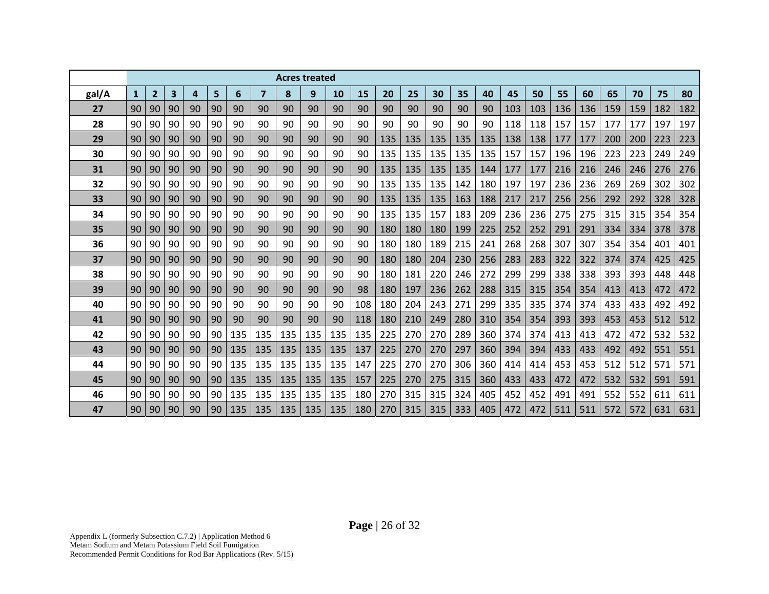|       |              |                |    |    |    |     |                |     | <b>Acres treated</b> |     |     |     |     |     |     |     |     |     |     |     |     |     |     |     |
|-------|--------------|----------------|----|----|----|-----|----------------|-----|----------------------|-----|-----|-----|-----|-----|-----|-----|-----|-----|-----|-----|-----|-----|-----|-----|
| gal/A | $\mathbf{1}$ | $\overline{2}$ | 3  | 4  | 5  | 6   | $\overline{7}$ | 8   | 9                    | 10  | 15  | 20  | 25  | 30  | 35  | 40  | 45  | 50  | 55  | 60  | 65  | 70  | 75  | 80  |
| 27    | 90           | 90             | 90 | 90 | 90 | 90  | 90             | 90  | 90                   | 90  | 90  | 90  | 90  | 90  | 90  | 90  | 103 | 103 | 136 | 136 | 159 | 159 | 182 | 182 |
| 28    | 90           | 90             | 90 | 90 | 90 | 90  | 90             | 90  | 90                   | 90  | 90  | 90  | 90  | 90  | 90  | 90  | 118 | 118 | 157 | 157 | 177 | 177 | 197 | 197 |
| 29    | 90           | 90             | 90 | 90 | 90 | 90  | 90             | 90  | 90                   | 90  | 90  | 135 | 135 | 135 | 135 | 135 | 138 | 138 | 177 | 177 | 200 | 200 | 223 | 223 |
| 30    | 90           | 90             | 90 | 90 | 90 | 90  | 90             | 90  | 90                   | 90  | 90  | 135 | 135 | 135 | 135 | 135 | 157 | 157 | 196 | 196 | 223 | 223 | 249 | 249 |
| 31    | 90           | 90             | 90 | 90 | 90 | 90  | 90             | 90  | 90                   | 90  | 90  | 135 | 135 | 135 | 135 | 144 | 177 | 177 | 216 | 216 | 246 | 246 | 276 | 276 |
| 32    | 90           | 90             | 90 | 90 | 90 | 90  | 90             | 90  | 90                   | 90  | 90  | 135 | 135 | 135 | 142 | 180 | 197 | 197 | 236 | 236 | 269 | 269 | 302 | 302 |
| 33    | 90           | 90             | 90 | 90 | 90 | 90  | 90             | 90  | 90                   | 90  | 90  | 135 | 135 | 135 | 163 | 188 | 217 | 217 | 256 | 256 | 292 | 292 | 328 | 328 |
| 34    | 90           | 90             | 90 | 90 | 90 | 90  | 90             | 90  | 90                   | 90  | 90  | 135 | 135 | 157 | 183 | 209 | 236 | 236 | 275 | 275 | 315 | 315 | 354 | 354 |
| 35    | 90           | 90             | 90 | 90 | 90 | 90  | 90             | 90  | 90                   | 90  | 90  | 180 | 180 | 180 | 199 | 225 | 252 | 252 | 291 | 291 | 334 | 334 | 378 | 378 |
| 36    | 90           | 90             | 90 | 90 | 90 | 90  | 90             | 90  | 90                   | 90  | 90  | 180 | 180 | 189 | 215 | 241 | 268 | 268 | 307 | 307 | 354 | 354 | 401 | 401 |
| 37    | 90           | 90             | 90 | 90 | 90 | 90  | 90             | 90  | 90                   | 90  | 90  | 180 | 180 | 204 | 230 | 256 | 283 | 283 | 322 | 322 | 374 | 374 | 425 | 425 |
| 38    | 90           | 90             | 90 | 90 | 90 | 90  | 90             | 90  | 90                   | 90  | 90  | 180 | 181 | 220 | 246 | 272 | 299 | 299 | 338 | 338 | 393 | 393 | 448 | 448 |
| 39    | 90           | 90             | 90 | 90 | 90 | 90  | 90             | 90  | 90                   | 90  | 98  | 180 | 197 | 236 | 262 | 288 | 315 | 315 | 354 | 354 | 413 | 413 | 472 | 472 |
| 40    | 90           | 90             | 90 | 90 | 90 | 90  | 90             | 90  | 90                   | 90  | 108 | 180 | 204 | 243 | 271 | 299 | 335 | 335 | 374 | 374 | 433 | 433 | 492 | 492 |
| 41    | 90           | 90             | 90 | 90 | 90 | 90  | 90             | 90  | 90                   | 90  | 118 | 180 | 210 | 249 | 280 | 310 | 354 | 354 | 393 | 393 | 453 | 453 | 512 | 512 |
| 42    | 90           | 90             | 90 | 90 | 90 | 135 | 135            | 135 | 135                  | 135 | 135 | 225 | 270 | 270 | 289 | 360 | 374 | 374 | 413 | 413 | 472 | 472 | 532 | 532 |
| 43    | 90           | 90             | 90 | 90 | 90 | 135 | 135            | 135 | 135                  | 135 | 137 | 225 | 270 | 270 | 297 | 360 | 394 | 394 | 433 | 433 | 492 | 492 | 551 | 551 |
| 44    | 90           | 90             | 90 | 90 | 90 | 135 | 135            | 135 | 135                  | 135 | 147 | 225 | 270 | 270 | 306 | 360 | 414 | 414 | 453 | 453 | 512 | 512 | 571 | 571 |
| 45    | 90           | 90             | 90 | 90 | 90 | 135 | 135            | 135 | 135                  | 135 | 157 | 225 | 270 | 275 | 315 | 360 | 433 | 433 | 472 | 472 | 532 | 532 | 591 | 591 |
| 46    | 90           | 90             | 90 | 90 | 90 | 135 | 135            | 135 | 135                  | 135 | 180 | 270 | 315 | 315 | 324 | 405 | 452 | 452 | 491 | 491 | 552 | 552 | 611 | 611 |
| 47    | 90           | 90             | 90 | 90 | 90 | 135 | 135            | 135 | 135                  | 135 | 180 | 270 | 315 | 315 | 333 | 405 | 472 | 472 | 511 | 511 | 572 | 572 | 631 | 631 |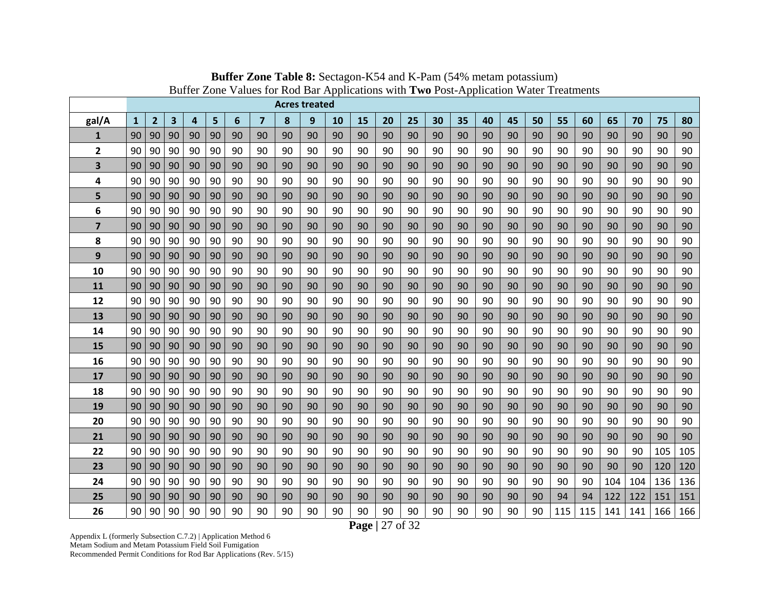|                         |              |                |    |                |    |    |                |    | <b>Acres treated</b> |    |    |    |    |    |    |    |    |    |     |     |     |     |     |     |
|-------------------------|--------------|----------------|----|----------------|----|----|----------------|----|----------------------|----|----|----|----|----|----|----|----|----|-----|-----|-----|-----|-----|-----|
| gal/A                   | $\mathbf{1}$ | $\overline{2}$ | 3  | $\overline{4}$ | 5  | 6  | $\overline{7}$ | 8  | 9                    | 10 | 15 | 20 | 25 | 30 | 35 | 40 | 45 | 50 | 55  | 60  | 65  | 70  | 75  | 80  |
| 1                       | 90           | 90             | 90 | 90             | 90 | 90 | 90             | 90 | 90                   | 90 | 90 | 90 | 90 | 90 | 90 | 90 | 90 | 90 | 90  | 90  | 90  | 90  | 90  | 90  |
| $\overline{\mathbf{2}}$ | 90           | 90             | 90 | 90             | 90 | 90 | 90             | 90 | 90                   | 90 | 90 | 90 | 90 | 90 | 90 | 90 | 90 | 90 | 90  | 90  | 90  | 90  | 90  | 90  |
| 3                       | 90           | 90             | 90 | 90             | 90 | 90 | 90             | 90 | 90                   | 90 | 90 | 90 | 90 | 90 | 90 | 90 | 90 | 90 | 90  | 90  | 90  | 90  | 90  | 90  |
| 4                       | 90           | 90             | 90 | 90             | 90 | 90 | 90             | 90 | 90                   | 90 | 90 | 90 | 90 | 90 | 90 | 90 | 90 | 90 | 90  | 90  | 90  | 90  | 90  | 90  |
| 5                       | 90           | 90             | 90 | 90             | 90 | 90 | 90             | 90 | 90                   | 90 | 90 | 90 | 90 | 90 | 90 | 90 | 90 | 90 | 90  | 90  | 90  | 90  | 90  | 90  |
| 6                       | 90           | 90             | 90 | 90             | 90 | 90 | 90             | 90 | 90                   | 90 | 90 | 90 | 90 | 90 | 90 | 90 | 90 | 90 | 90  | 90  | 90  | 90  | 90  | 90  |
| $\overline{\mathbf{z}}$ | 90           | 90             | 90 | 90             | 90 | 90 | 90             | 90 | 90                   | 90 | 90 | 90 | 90 | 90 | 90 | 90 | 90 | 90 | 90  | 90  | 90  | 90  | 90  | 90  |
| 8                       | 90           | 90             | 90 | 90             | 90 | 90 | 90             | 90 | 90                   | 90 | 90 | 90 | 90 | 90 | 90 | 90 | 90 | 90 | 90  | 90  | 90  | 90  | 90  | 90  |
| 9                       | 90           | 90             | 90 | 90             | 90 | 90 | 90             | 90 | 90                   | 90 | 90 | 90 | 90 | 90 | 90 | 90 | 90 | 90 | 90  | 90  | 90  | 90  | 90  | 90  |
| 10                      | 90           | 90             | 90 | 90             | 90 | 90 | 90             | 90 | 90                   | 90 | 90 | 90 | 90 | 90 | 90 | 90 | 90 | 90 | 90  | 90  | 90  | 90  | 90  | 90  |
| 11                      | 90           | 90             | 90 | 90             | 90 | 90 | 90             | 90 | 90                   | 90 | 90 | 90 | 90 | 90 | 90 | 90 | 90 | 90 | 90  | 90  | 90  | 90  | 90  | 90  |
| 12                      | 90           | 90             | 90 | 90             | 90 | 90 | 90             | 90 | 90                   | 90 | 90 | 90 | 90 | 90 | 90 | 90 | 90 | 90 | 90  | 90  | 90  | 90  | 90  | 90  |
| 13                      | 90           | 90             | 90 | 90             | 90 | 90 | 90             | 90 | 90                   | 90 | 90 | 90 | 90 | 90 | 90 | 90 | 90 | 90 | 90  | 90  | 90  | 90  | 90  | 90  |
| 14                      | 90           | 90             | 90 | 90             | 90 | 90 | 90             | 90 | 90                   | 90 | 90 | 90 | 90 | 90 | 90 | 90 | 90 | 90 | 90  | 90  | 90  | 90  | 90  | 90  |
| 15                      | 90           | 90             | 90 | 90             | 90 | 90 | 90             | 90 | 90                   | 90 | 90 | 90 | 90 | 90 | 90 | 90 | 90 | 90 | 90  | 90  | 90  | 90  | 90  | 90  |
| 16                      | 90           | 90             | 90 | 90             | 90 | 90 | 90             | 90 | 90                   | 90 | 90 | 90 | 90 | 90 | 90 | 90 | 90 | 90 | 90  | 90  | 90  | 90  | 90  | 90  |
| 17                      | 90           | 90             | 90 | 90             | 90 | 90 | 90             | 90 | 90                   | 90 | 90 | 90 | 90 | 90 | 90 | 90 | 90 | 90 | 90  | 90  | 90  | 90  | 90  | 90  |
| 18                      | 90           | 90             | 90 | 90             | 90 | 90 | 90             | 90 | 90                   | 90 | 90 | 90 | 90 | 90 | 90 | 90 | 90 | 90 | 90  | 90  | 90  | 90  | 90  | 90  |
| 19                      | 90           | 90             | 90 | 90             | 90 | 90 | 90             | 90 | 90                   | 90 | 90 | 90 | 90 | 90 | 90 | 90 | 90 | 90 | 90  | 90  | 90  | 90  | 90  | 90  |
| 20                      | 90           | 90             | 90 | 90             | 90 | 90 | 90             | 90 | 90                   | 90 | 90 | 90 | 90 | 90 | 90 | 90 | 90 | 90 | 90  | 90  | 90  | 90  | 90  | 90  |
| 21                      | 90           | 90             | 90 | 90             | 90 | 90 | 90             | 90 | 90                   | 90 | 90 | 90 | 90 | 90 | 90 | 90 | 90 | 90 | 90  | 90  | 90  | 90  | 90  | 90  |
| 22                      | 90           | 90             | 90 | 90             | 90 | 90 | 90             | 90 | 90                   | 90 | 90 | 90 | 90 | 90 | 90 | 90 | 90 | 90 | 90  | 90  | 90  | 90  | 105 | 105 |
| 23                      | 90           | 90             | 90 | 90             | 90 | 90 | 90             | 90 | 90                   | 90 | 90 | 90 | 90 | 90 | 90 | 90 | 90 | 90 | 90  | 90  | 90  | 90  | 120 | 120 |
| 24                      | 90           | 90             | 90 | 90             | 90 | 90 | 90             | 90 | 90                   | 90 | 90 | 90 | 90 | 90 | 90 | 90 | 90 | 90 | 90  | 90  | 104 | 104 | 136 | 136 |
| 25                      | 90           | 90             | 90 | 90             | 90 | 90 | 90             | 90 | 90                   | 90 | 90 | 90 | 90 | 90 | 90 | 90 | 90 | 90 | 94  | 94  | 122 | 122 | 151 | 151 |
| 26                      | 90           | 90             | 90 | 90             | 90 | 90 | 90             | 90 | 90                   | 90 | 90 | 90 | 90 | 90 | 90 | 90 | 90 | 90 | 115 | 115 | 141 | 141 | 166 | 166 |

**Buffer Zone Table 8:** Sectagon-K54 and K-Pam (54% metam potassium) Buffer Zone Values for Rod Bar Applications with **Two** Post-Application Water Treatments

**Page |** 27 of 32

Appendix L (formerly Subsection C.7.2) | Application Method 6 Metam Sodium and Metam Potassium Field Soil Fumigation Recommended Permit Conditions for Rod Bar Applications (Rev. 5/15)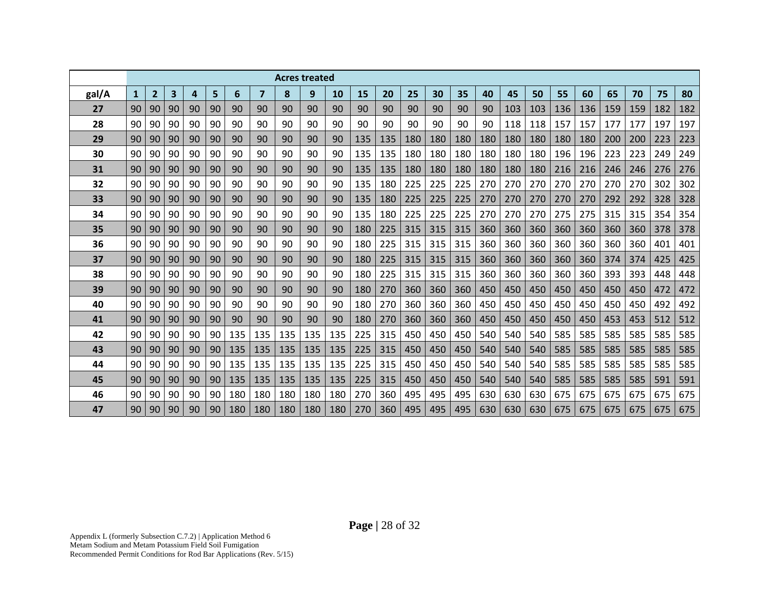|       |              |                |                         |    |    |     |                | <b>Acres treated</b> |     |     |     |     |     |     |     |     |     |     |     |     |     |     |     |     |
|-------|--------------|----------------|-------------------------|----|----|-----|----------------|----------------------|-----|-----|-----|-----|-----|-----|-----|-----|-----|-----|-----|-----|-----|-----|-----|-----|
| gal/A | $\mathbf{1}$ | $\overline{2}$ | $\overline{\mathbf{3}}$ | 4  | 5  | 6   | $\overline{7}$ | 8                    | 9   | 10  | 15  | 20  | 25  | 30  | 35  | 40  | 45  | 50  | 55  | 60  | 65  | 70  | 75  | 80  |
| 27    | 90           | 90             | 90                      | 90 | 90 | 90  | 90             | 90                   | 90  | 90  | 90  | 90  | 90  | 90  | 90  | 90  | 103 | 103 | 136 | 136 | 159 | 159 | 182 | 182 |
| 28    | 90           | 90             | 90                      | 90 | 90 | 90  | 90             | 90                   | 90  | 90  | 90  | 90  | 90  | 90  | 90  | 90  | 118 | 118 | 157 | 157 | 177 | 177 | 197 | 197 |
| 29    | 90           | 90             | 90                      | 90 | 90 | 90  | 90             | 90                   | 90  | 90  | 135 | 135 | 180 | 180 | 180 | 180 | 180 | 180 | 180 | 180 | 200 | 200 | 223 | 223 |
| 30    | 90           | 90             | 90                      | 90 | 90 | 90  | 90             | 90                   | 90  | 90  | 135 | 135 | 180 | 180 | 180 | 180 | 180 | 180 | 196 | 196 | 223 | 223 | 249 | 249 |
| 31    | 90           | 90             | 90                      | 90 | 90 | 90  | 90             | 90                   | 90  | 90  | 135 | 135 | 180 | 180 | 180 | 180 | 180 | 180 | 216 | 216 | 246 | 246 | 276 | 276 |
| 32    | 90           | 90             | 90                      | 90 | 90 | 90  | 90             | 90                   | 90  | 90  | 135 | 180 | 225 | 225 | 225 | 270 | 270 | 270 | 270 | 270 | 270 | 270 | 302 | 302 |
| 33    | 90           | 90             | 90                      | 90 | 90 | 90  | 90             | 90                   | 90  | 90  | 135 | 180 | 225 | 225 | 225 | 270 | 270 | 270 | 270 | 270 | 292 | 292 | 328 | 328 |
| 34    | 90           | 90             | 90                      | 90 | 90 | 90  | 90             | 90                   | 90  | 90  | 135 | 180 | 225 | 225 | 225 | 270 | 270 | 270 | 275 | 275 | 315 | 315 | 354 | 354 |
| 35    | 90           | 90             | 90                      | 90 | 90 | 90  | 90             | 90                   | 90  | 90  | 180 | 225 | 315 | 315 | 315 | 360 | 360 | 360 | 360 | 360 | 360 | 360 | 378 | 378 |
| 36    | 90           | 90             | 90                      | 90 | 90 | 90  | 90             | 90                   | 90  | 90  | 180 | 225 | 315 | 315 | 315 | 360 | 360 | 360 | 360 | 360 | 360 | 360 | 401 | 401 |
| 37    | 90           | 90             | 90                      | 90 | 90 | 90  | 90             | 90                   | 90  | 90  | 180 | 225 | 315 | 315 | 315 | 360 | 360 | 360 | 360 | 360 | 374 | 374 | 425 | 425 |
| 38    | 90           | 90             | 90                      | 90 | 90 | 90  | 90             | 90                   | 90  | 90  | 180 | 225 | 315 | 315 | 315 | 360 | 360 | 360 | 360 | 360 | 393 | 393 | 448 | 448 |
| 39    | 90           | 90             | 90                      | 90 | 90 | 90  | 90             | 90                   | 90  | 90  | 180 | 270 | 360 | 360 | 360 | 450 | 450 | 450 | 450 | 450 | 450 | 450 | 472 | 472 |
| 40    | 90           | 90             | 90                      | 90 | 90 | 90  | 90             | 90                   | 90  | 90  | 180 | 270 | 360 | 360 | 360 | 450 | 450 | 450 | 450 | 450 | 450 | 450 | 492 | 492 |
| 41    | 90           | 90             | 90                      | 90 | 90 | 90  | 90             | 90                   | 90  | 90  | 180 | 270 | 360 | 360 | 360 | 450 | 450 | 450 | 450 | 450 | 453 | 453 | 512 | 512 |
| 42    | 90           | 90             | 90                      | 90 | 90 | 135 | 135            | 135                  | 135 | 135 | 225 | 315 | 450 | 450 | 450 | 540 | 540 | 540 | 585 | 585 | 585 | 585 | 585 | 585 |
| 43    | 90           | 90             | 90                      | 90 | 90 | 135 | 135            | 135                  | 135 | 135 | 225 | 315 | 450 | 450 | 450 | 540 | 540 | 540 | 585 | 585 | 585 | 585 | 585 | 585 |
| 44    | 90           | 90             | 90                      | 90 | 90 | 135 | 135            | 135                  | 135 | 135 | 225 | 315 | 450 | 450 | 450 | 540 | 540 | 540 | 585 | 585 | 585 | 585 | 585 | 585 |
| 45    | 90           | 90             | 90                      | 90 | 90 | 135 | 135            | 135                  | 135 | 135 | 225 | 315 | 450 | 450 | 450 | 540 | 540 | 540 | 585 | 585 | 585 | 585 | 591 | 591 |
| 46    | 90           | 90             | 90                      | 90 | 90 | 180 | 180            | 180                  | 180 | 180 | 270 | 360 | 495 | 495 | 495 | 630 | 630 | 630 | 675 | 675 | 675 | 675 | 675 | 675 |
| 47    | 90           | 90             | 90                      | 90 | 90 | 180 | 180            | 180                  | 180 | 180 | 270 | 360 | 495 | 495 | 495 | 630 | 630 | 630 | 675 | 675 | 675 | 675 | 675 | 675 |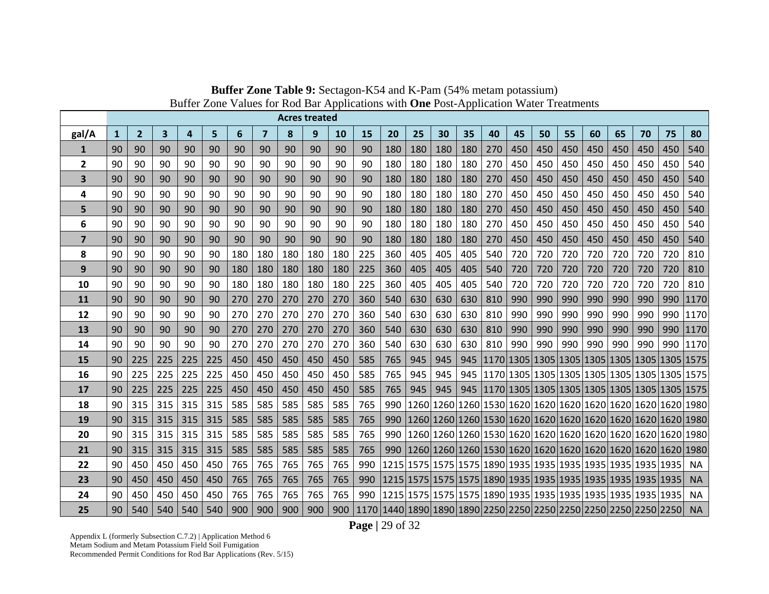|                |              |                |     |     |     |     |     | <b>Acres treated</b> |     |           |                                                                                                |     |     |     |     |                                                                    |     |     |     |     |     |     |     |           |
|----------------|--------------|----------------|-----|-----|-----|-----|-----|----------------------|-----|-----------|------------------------------------------------------------------------------------------------|-----|-----|-----|-----|--------------------------------------------------------------------|-----|-----|-----|-----|-----|-----|-----|-----------|
| gal/A          | $\mathbf{1}$ | $\overline{2}$ | 3   | 4   | 5   | 6   | 7   | 8                    | 9   | <b>10</b> | 15                                                                                             | 20  | 25  | 30  | 35  | 40                                                                 | 45  | 50  | 55  | 60  | 65  | 70  | 75  | 80        |
| 1              | 90           | 90             | 90  | 90  | 90  | 90  | 90  | 90                   | 90  | 90        | 90                                                                                             | 180 | 180 | 180 | 180 | 270                                                                | 450 | 450 | 450 | 450 | 450 | 450 | 450 | 540       |
| $\overline{2}$ | 90           | 90             | 90  | 90  | 90  | 90  | 90  | 90                   | 90  | 90        | 90                                                                                             | 180 | 180 | 180 | 180 | 270                                                                | 450 | 450 | 450 | 450 | 450 | 450 | 450 | 540       |
| 3              | 90           | 90             | 90  | 90  | 90  | 90  | 90  | 90                   | 90  | 90        | 90                                                                                             | 180 | 180 | 180 | 180 | 270                                                                | 450 | 450 | 450 | 450 | 450 | 450 | 450 | 540       |
| 4              | 90           | 90             | 90  | 90  | 90  | 90  | 90  | 90                   | 90  | 90        | 90                                                                                             | 180 | 180 | 180 | 180 | 270                                                                | 450 | 450 | 450 | 450 | 450 | 450 | 450 | 540       |
| 5              | 90           | 90             | 90  | 90  | 90  | 90  | 90  | 90                   | 90  | 90        | 90                                                                                             | 180 | 180 | 180 | 180 | 270                                                                | 450 | 450 | 450 | 450 | 450 | 450 | 450 | 540       |
| 6              | 90           | 90             | 90  | 90  | 90  | 90  | 90  | 90                   | 90  | 90        | 90                                                                                             | 180 | 180 | 180 | 180 | 270                                                                | 450 | 450 | 450 | 450 | 450 | 450 | 450 | 540       |
| $\overline{7}$ | 90           | 90             | 90  | 90  | 90  | 90  | 90  | 90                   | 90  | 90        | 90                                                                                             | 180 | 180 | 180 | 180 | 270                                                                | 450 | 450 | 450 | 450 | 450 | 450 | 450 | 540       |
| 8              | 90           | 90             | 90  | 90  | 90  | 180 | 180 | 180                  | 180 | 180       | 225                                                                                            | 360 | 405 | 405 | 405 | 540                                                                | 720 | 720 | 720 | 720 | 720 | 720 | 720 | 810       |
| 9              | 90           | 90             | 90  | 90  | 90  | 180 | 180 | 180                  | 180 | 180       | 225                                                                                            | 360 | 405 | 405 | 405 | 540                                                                | 720 | 720 | 720 | 720 | 720 | 720 | 720 | 810       |
| 10             | 90           | 90             | 90  | 90  | 90  | 180 | 180 | 180                  | 180 | 180       | 225                                                                                            | 360 | 405 | 405 | 405 | 540                                                                | 720 | 720 | 720 | 720 | 720 | 720 | 720 | 810       |
| 11             | 90           | 90             | 90  | 90  | 90  | 270 | 270 | 270                  | 270 | 270       | 360                                                                                            | 540 | 630 | 630 | 630 | 810                                                                | 990 | 990 | 990 | 990 | 990 | 990 | 990 | 1170      |
| 12             | 90           | 90             | 90  | 90  | 90  | 270 | 270 | 270                  | 270 | 270       | 360                                                                                            | 540 | 630 | 630 | 630 | 810                                                                | 990 | 990 | 990 | 990 | 990 | 990 | 990 | 1170      |
| 13             | 90           | 90             | 90  | 90  | 90  | 270 | 270 | 270                  | 270 | 270       | 360                                                                                            | 540 | 630 | 630 | 630 | 810                                                                | 990 | 990 | 990 | 990 | 990 | 990 | 990 | 1170      |
| 14             | 90           | 90             | 90  | 90  | 90  | 270 | 270 | 270                  | 270 | 270       | 360                                                                                            | 540 | 630 | 630 | 630 | 810                                                                | 990 | 990 | 990 | 990 | 990 | 990 | 990 | 1170      |
| 15             | 90           | 225            | 225 | 225 | 225 | 450 | 450 | 450                  | 450 | 450       | 585                                                                                            | 765 | 945 | 945 | 945 | 1170 1305 1305 1305 1305 1305 1305 1305 1575                       |     |     |     |     |     |     |     |           |
| 16             | 90           | 225            | 225 | 225 | 225 | 450 | 450 | 450                  | 450 | 450       | 585                                                                                            | 765 | 945 | 945 |     | 945   1170   1305   1305   1305   1305   1305   1305   1305   1575 |     |     |     |     |     |     |     |           |
| 17             | 90           | 225            | 225 | 225 | 225 | 450 | 450 | 450                  | 450 | 450       | 585                                                                                            | 765 | 945 | 945 |     | 945  1170   1305   1305   1305   1305   1305   1305   1305   1575  |     |     |     |     |     |     |     |           |
| 18             | 90           | 315            | 315 | 315 | 315 | 585 | 585 | 585                  | 585 | 585       | 765                                                                                            | 990 |     |     |     | 1260 1260 1260 1260 1530 1620 1620 1620 1620 1620 1620 1620 1980   |     |     |     |     |     |     |     |           |
| 19             | 90           | 315            | 315 | 315 | 315 | 585 | 585 | 585                  | 585 | 585       | 765                                                                                            | 990 |     |     |     | $ 1260 1260 1260 1530 1620 1620 1620 1620 1620 1620 1620 1980$     |     |     |     |     |     |     |     |           |
| 20             | 90           | 315            | 315 | 315 | 315 | 585 | 585 | 585                  | 585 | 585       | 765                                                                                            | 990 |     |     |     |                                                                    |     |     |     |     |     |     |     |           |
| 21             | 90           | 315            | 315 | 315 | 315 | 585 | 585 | 585                  | 585 | 585       | 765                                                                                            | 990 |     |     |     | $ 1260 1260 1260 1530 1620 1620 1620 1620 1620 1620 1620 1980$     |     |     |     |     |     |     |     |           |
| 22             | 90           | 450            | 450 | 450 | 450 | 765 | 765 | 765                  | 765 | 765       | 990                                                                                            |     |     |     |     | 1215 1575 1575 1575 1890 1935 1935 1935 1935 1935 1935 1935        |     |     |     |     |     |     |     | <b>NA</b> |
| 23             | 90           | 450            | 450 | 450 | 450 | 765 | 765 | 765                  | 765 | 765       | 990                                                                                            |     |     |     |     | 1215 1575 1575 1575 1890 1935 1935 1935 1935 1935 1935 1935        |     |     |     |     |     |     |     | <b>NA</b> |
| 24             | 90           | 450            | 450 | 450 | 450 | 765 | 765 | 765                  | 765 | 765       | 990                                                                                            |     |     |     |     | 1215 1575 1575 1575 1890 1935 1935 1935 1935 1935 1935 1935        |     |     |     |     |     |     |     | <b>NA</b> |
| 25             | 90           | 540            | 540 | 540 | 540 | 900 | 900 | 900                  | 900 |           | 900   1170   1440   1890   1890   1890   2250   2250   2250   2250   2250   2250   2250   2250 |     |     |     |     |                                                                    |     |     |     |     |     |     |     | <b>NA</b> |

**Buffer Zone Table 9:** Sectagon-K54 and K-Pam (54% metam potassium) Buffer Zone Values for Rod Bar Applications with **One** Post-Application Water Treatments

**Page |** 29 of 32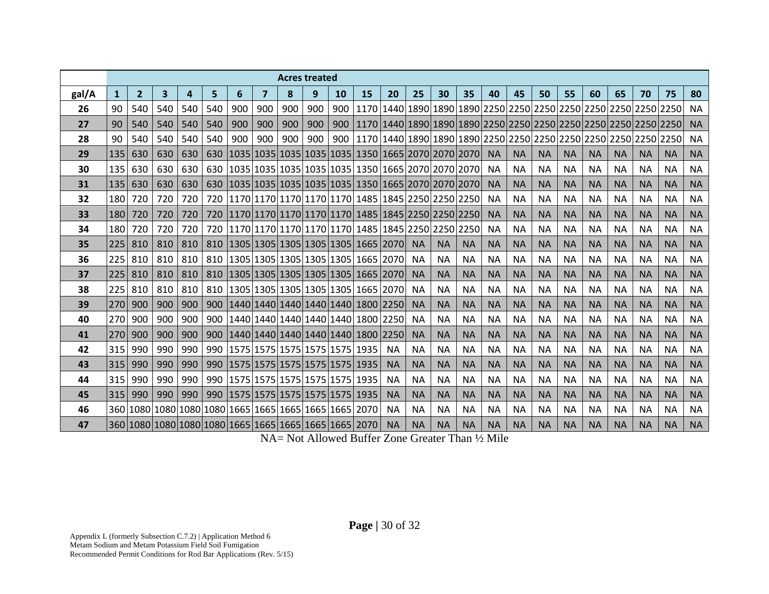|       |            |                |     |     |     |                                                       |     | <b>Acres treated</b> |     |    |                                                                               |           |           |           |           |           |           |           |           |           |           |           |                                                                                                |           |
|-------|------------|----------------|-----|-----|-----|-------------------------------------------------------|-----|----------------------|-----|----|-------------------------------------------------------------------------------|-----------|-----------|-----------|-----------|-----------|-----------|-----------|-----------|-----------|-----------|-----------|------------------------------------------------------------------------------------------------|-----------|
| gal/A | 1          | $\overline{2}$ | 3   | 4   | 5.  | 6                                                     | 7   | 8                    | 9   | 10 | 15                                                                            | 20        | 25        | 30        | 35        | 40        | 45        | 50        | 55        | 60        | 65        | 70        | 75                                                                                             | 80        |
| 26    | 90         | 540            | 540 | 540 | 540 | 900                                                   | 900 | 900                  | 900 |    |                                                                               |           |           |           |           |           |           |           |           |           |           |           | 900   1170   1440   1890   1890   1890   2250   2250   2250   2250   2250   2250   2250   2250 | <b>NA</b> |
| 27    | 90         | 540            | 540 | 540 | 540 | 900                                                   | 900 | 900                  | 900 |    |                                                                               |           |           |           |           |           |           |           |           |           |           |           | 900   1170   1440   1890   1890   1890   2250   2250   2250   2250   2250   2250   2250   2250 | <b>NA</b> |
| 28    | 90         | 540            | 540 | 540 | 540 | 900                                                   | 900 | 900                  | 900 |    |                                                                               |           |           |           |           |           |           |           |           |           |           |           | 900   1170   1440   1890   1890   1890   2250   2250   2250   2250   2250   2250   2250   2250 | <b>NA</b> |
| 29    | 135        | 630            | 630 | 630 |     |                                                       |     |                      |     |    | 630  1035   1035   1035   1035   1035   1350   1665   2070   2070   2070   NA |           |           |           |           |           | <b>NA</b> | <b>NA</b> | <b>NA</b> | <b>NA</b> | <b>NA</b> | <b>NA</b> | <b>NA</b>                                                                                      | <b>NA</b> |
| 30    | 135        | 630            | 630 | 630 |     |                                                       |     |                      |     |    | 630   1035   1035   1035   1035   1035   1350   1665   2070   2070   2070     |           |           |           |           | <b>NA</b> | <b>NA</b> | <b>NA</b> | <b>NA</b> | <b>NA</b> | <b>NA</b> | <b>NA</b> | <b>NA</b>                                                                                      | <b>NA</b> |
| 31    | 135        | 630            | 630 | 630 |     |                                                       |     |                      |     |    | 630   1035   1035   1035   1035   1035   1350   1665   2070   2070   2070     |           |           |           |           | <b>NA</b> | <b>NA</b> | <b>NA</b> | <b>NA</b> | <b>NA</b> | <b>NA</b> | <b>NA</b> | <b>NA</b>                                                                                      | <b>NA</b> |
| 32    | 180        | 720            | 720 | 720 |     |                                                       |     |                      |     |    | 720  1170 1170 1170 1170 1170  1485   1845   2250   2250   2250               |           |           |           |           | <b>NA</b> | <b>NA</b> | <b>NA</b> | <b>NA</b> | <b>NA</b> | <b>NA</b> | <b>NA</b> | <b>NA</b>                                                                                      | <b>NA</b> |
| 33    | <b>180</b> | 720            | 720 | 720 |     |                                                       |     |                      |     |    | 720  1170 1170 1170 1170 1170  1485   1845   2250   2250   2250               |           |           |           |           | <b>NA</b> | <b>NA</b> | <b>NA</b> | <b>NA</b> | <b>NA</b> | <b>NA</b> | <b>NA</b> | <b>NA</b>                                                                                      | <b>NA</b> |
| 34    | 180        | 720            | 720 | 720 |     |                                                       |     |                      |     |    | 720   1170   1170   1170   1170   1170   1485   1845   2250   2250   2250     |           |           |           |           | <b>NA</b> | <b>NA</b> | <b>NA</b> | <b>NA</b> | <b>NA</b> | <b>NA</b> | <b>NA</b> | <b>NA</b>                                                                                      | <b>NA</b> |
| 35    | 225        | 810            | 810 | 810 |     |                                                       |     |                      |     |    | 810   1305   1305   1305   1305   1305   1665   2070                          |           | <b>NA</b> | <b>NA</b> | <b>NA</b> | <b>NA</b> | <b>NA</b> | <b>NA</b> | <b>NA</b> | <b>NA</b> | <b>NA</b> | <b>NA</b> | <b>NA</b>                                                                                      | <b>NA</b> |
| 36    | 225        | 810            | 810 | 810 |     |                                                       |     |                      |     |    | 810   1305   1305   1305   1305   1305   1665   2070   NA                     |           |           | <b>NA</b> | <b>NA</b> | ΝA        | <b>NA</b> | <b>NA</b> | <b>NA</b> | <b>NA</b> | <b>NA</b> | <b>NA</b> | <b>NA</b>                                                                                      | <b>NA</b> |
| 37    | 225        | 810            | 810 | 810 |     |                                                       |     |                      |     |    | 810   1305   1305   1305   1305   1305   1665   2070                          |           | <b>NA</b> | <b>NA</b> | <b>NA</b> | <b>NA</b> | <b>NA</b> | <b>NA</b> | <b>NA</b> | <b>NA</b> | <b>NA</b> | <b>NA</b> | <b>NA</b>                                                                                      | <b>NA</b> |
| 38    | 225 L      | 810            | 810 | 810 |     |                                                       |     |                      |     |    | 810   1305   1305   1305   1305   1305   1665   2070                          |           | <b>NA</b> | <b>NA</b> | <b>NA</b> | <b>NA</b> | <b>NA</b> | <b>NA</b> | <b>NA</b> | <b>NA</b> | <b>NA</b> | <b>NA</b> | <b>NA</b>                                                                                      | <b>NA</b> |
| 39    | 270        | 900            | 900 | 900 |     |                                                       |     |                      |     |    | 900   1440   1440   1440   1440   1440   1800   2250                          |           | <b>NA</b> | <b>NA</b> | <b>NA</b> | <b>NA</b> | <b>NA</b> | <b>NA</b> | <b>NA</b> | <b>NA</b> | <b>NA</b> | <b>NA</b> | <b>NA</b>                                                                                      | <b>NA</b> |
| 40    | 270        | 900            | 900 | 900 |     |                                                       |     |                      |     |    | 900   1440   1440   1440   1440   1440   1800   2250                          |           | <b>NA</b> | <b>NA</b> | <b>NA</b> | <b>NA</b> | <b>NA</b> | <b>NA</b> | <b>NA</b> | <b>NA</b> | <b>NA</b> | <b>NA</b> | <b>NA</b>                                                                                      | <b>NA</b> |
| 41    | 270        | 900            | 900 | 900 |     |                                                       |     |                      |     |    | 900   1440   1440   1440   1440   1440   1800   2250                          |           | <b>NA</b> | <b>NA</b> | <b>NA</b> | <b>NA</b> | <b>NA</b> | <b>NA</b> | <b>NA</b> | <b>NA</b> | <b>NA</b> | <b>NA</b> | <b>NA</b>                                                                                      | <b>NA</b> |
| 42    | 315        | 990            | 990 | 990 |     |                                                       |     |                      |     |    | 990   1575   1575   1575   1575   1575   1935                                 | <b>NA</b> | <b>NA</b> | <b>NA</b> | <b>NA</b> | <b>NA</b> | <b>NA</b> | <b>NA</b> | <b>NA</b> | <b>NA</b> | <b>NA</b> | <b>NA</b> | <b>NA</b>                                                                                      | <b>NA</b> |
| 43    | 315        | 990            | 990 | 990 |     |                                                       |     |                      |     |    | 990   1575   1575   1575   1575   1575   1935                                 | <b>NA</b> | <b>NA</b> | <b>NA</b> | <b>NA</b> | <b>NA</b> | <b>NA</b> | <b>NA</b> | <b>NA</b> | <b>NA</b> | <b>NA</b> | <b>NA</b> | <b>NA</b>                                                                                      | <b>NA</b> |
| 44    | 315        | 990            | 990 | 990 |     | 990   1575   1575   1575   1575   1575   1935         |     |                      |     |    |                                                                               | <b>NA</b> | <b>NA</b> | <b>NA</b> | <b>NA</b> | <b>NA</b> | <b>NA</b> | <b>NA</b> | <b>NA</b> | <b>NA</b> | <b>NA</b> | <b>NA</b> | <b>NA</b>                                                                                      | <b>NA</b> |
| 45    | 315        | 990            | 990 |     |     |                                                       |     |                      |     |    | 990   990   1575   1575   1575   1575   1575   1935                           | <b>NA</b> | <b>NA</b> | <b>NA</b> | <b>NA</b> | <b>NA</b> | <b>NA</b> | <b>NA</b> | <b>NA</b> | <b>NA</b> | <b>NA</b> | <b>NA</b> | <b>NA</b>                                                                                      | <b>NA</b> |
| 46    |            |                |     |     |     | 360 1080 1080 1080 1080 1665 1665 1665 1665 1665 2070 |     |                      |     |    |                                                                               | <b>NA</b> | <b>NA</b> | <b>NA</b> | <b>NA</b> | ΝA        | <b>NA</b> | <b>NA</b> | <b>NA</b> | <b>NA</b> | ΝA        | <b>NA</b> | <b>NA</b>                                                                                      | <b>NA</b> |
| 47    |            |                |     |     |     |                                                       |     |                      |     |    | 360 1080 1080 1080 1080 1665 1665 1665 1665 1665 2070                         | <b>NA</b> | <b>NA</b> | <b>NA</b> | <b>NA</b> | <b>NA</b> | <b>NA</b> | <b>NA</b> | <b>NA</b> | <b>NA</b> | <b>NA</b> | <b>NA</b> | <b>NA</b>                                                                                      | <b>NA</b> |

NA= Not Allowed Buffer Zone Greater Than ½ Mile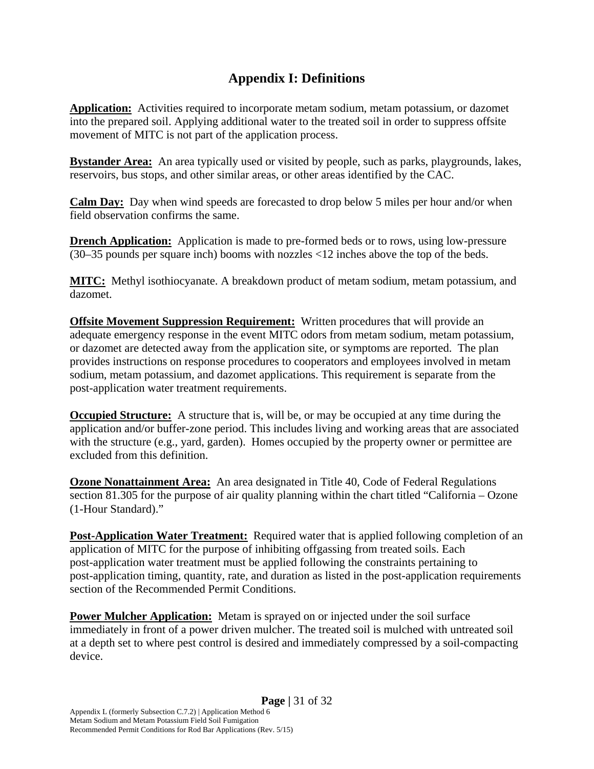#### **Appendix I: Definitions**

**Application:** Activities required to incorporate metam sodium, metam potassium, or dazomet into the prepared soil. Applying additional water to the treated soil in order to suppress offsite movement of MITC is not part of the application process.

**Bystander Area:** An area typically used or visited by people, such as parks, playgrounds, lakes, reservoirs, bus stops, and other similar areas, or other areas identified by the CAC.

**Calm Day:** Day when wind speeds are forecasted to drop below 5 miles per hour and/or when field observation confirms the same.

**Drench Application:** Application is made to pre-formed beds or to rows, using low-pressure (30–35 pounds per square inch) booms with nozzles <12 inches above the top of the beds.

**MITC:** Methyl isothiocyanate. A breakdown product of metam sodium, metam potassium, and dazomet.

**Offsite Movement Suppression Requirement:** Written procedures that will provide an adequate emergency response in the event MITC odors from metam sodium, metam potassium, or dazomet are detected away from the application site, or symptoms are reported. The plan provides instructions on response procedures to cooperators and employees involved in metam sodium, metam potassium, and dazomet applications. This requirement is separate from the post-application water treatment requirements.

**Occupied Structure:** A structure that is, will be, or may be occupied at any time during the application and/or buffer-zone period. This includes living and working areas that are associated with the structure (e.g., yard, garden). Homes occupied by the property owner or permittee are excluded from this definition.

**Ozone Nonattainment Area:** An area designated in Title 40, Code of Federal Regulations section 81.305 for the purpose of air quality planning within the chart titled "California – Ozone (1-Hour Standard)."

**Post-Application Water Treatment:** Required water that is applied following completion of an application of MITC for the purpose of inhibiting offgassing from treated soils. Each post-application water treatment must be applied following the constraints pertaining to post-application timing, quantity, rate, and duration as listed in the post-application requirements section of the Recommended Permit Conditions.

**Power Mulcher Application:** Metam is sprayed on or injected under the soil surface immediately in front of a power driven mulcher. The treated soil is mulched with untreated soil at a depth set to where pest control is desired and immediately compressed by a soil-compacting device.